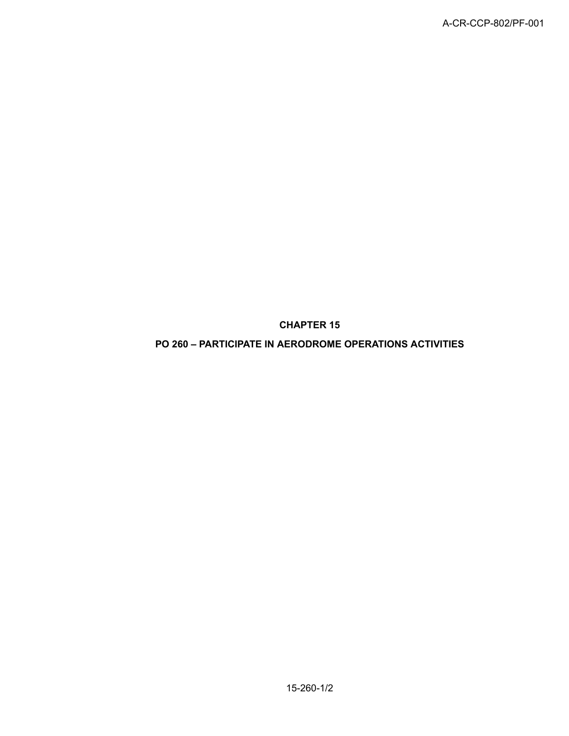**CHAPTER 15**

**PO 260 – PARTICIPATE IN AERODROME OPERATIONS ACTIVITIES**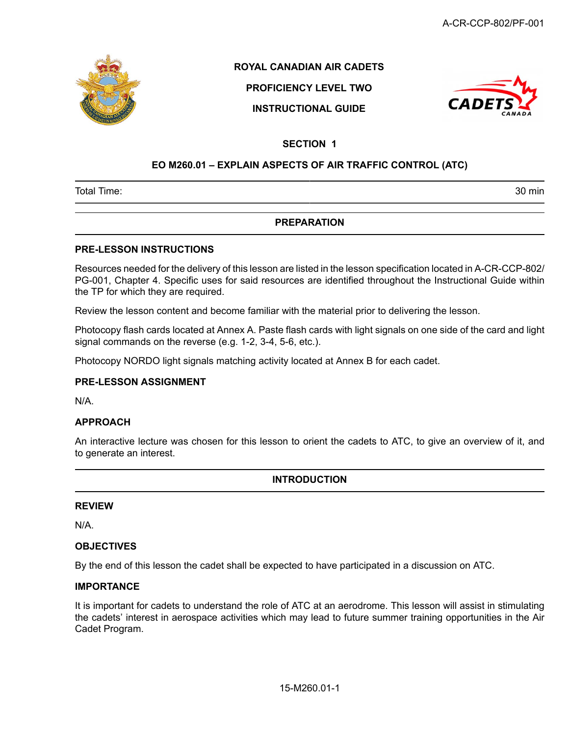

### **ROYAL CANADIAN AIR CADETS**

### **PROFICIENCY LEVEL TWO INSTRUCTIONAL GUIDE**



### **SECTION 1**

### **EO M260.01 – EXPLAIN ASPECTS OF AIR TRAFFIC CONTROL (ATC)**

Total Time: 30 min

### **PREPARATION**

### **PRE-LESSON INSTRUCTIONS**

Resources needed for the delivery of this lesson are listed in the lesson specification located in A-CR-CCP-802/ PG-001, Chapter 4. Specific uses for said resources are identified throughout the Instructional Guide within the TP for which they are required.

Review the lesson content and become familiar with the material prior to delivering the lesson.

Photocopy flash cards located at Annex A. Paste flash cards with light signals on one side of the card and light signal commands on the reverse (e.g. 1-2, 3-4, 5-6, etc.).

Photocopy NORDO light signals matching activity located at Annex B for each cadet.

### **PRE-LESSON ASSIGNMENT**

N/A.

### **APPROACH**

An interactive lecture was chosen for this lesson to orient the cadets to ATC, to give an overview of it, and to generate an interest.

### **INTRODUCTION**

### **REVIEW**

N/A.

### **OBJECTIVES**

By the end of this lesson the cadet shall be expected to have participated in a discussion on ATC.

### **IMPORTANCE**

It is important for cadets to understand the role of ATC at an aerodrome. This lesson will assist in stimulating the cadets' interest in aerospace activities which may lead to future summer training opportunities in the Air Cadet Program.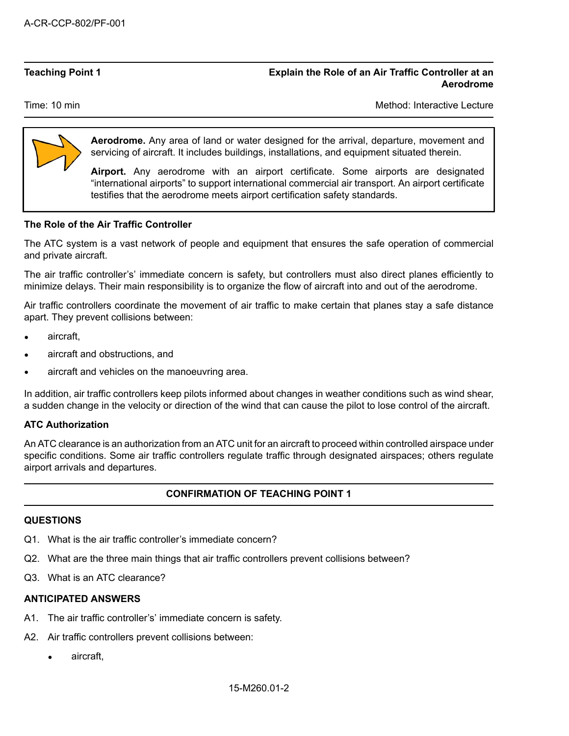### **Teaching Point 1 Explain the Role of an Air Traffic Controller at an Aerodrome**

Time: 10 min Method: Interactive Lecture

**Aerodrome.** Any area of land or water designed for the arrival, departure, movement and servicing of aircraft. It includes buildings, installations, and equipment situated therein.

**Airport.** Any aerodrome with an airport certificate. Some airports are designated "international airports" to support international commercial air transport. An airport certificate testifies that the aerodrome meets airport certification safety standards.

### **The Role of the Air Traffic Controller**

The ATC system is a vast network of people and equipment that ensures the safe operation of commercial and private aircraft.

The air traffic controller's' immediate concern is safety, but controllers must also direct planes efficiently to minimize delays. Their main responsibility is to organize the flow of aircraft into and out of the aerodrome.

Air traffic controllers coordinate the movement of air traffic to make certain that planes stay a safe distance apart. They prevent collisions between:

- aircraft,
- aircraft and obstructions, and
- aircraft and vehicles on the manoeuvring area.

In addition, air traffic controllers keep pilots informed about changes in weather conditions such as wind shear, a sudden change in the velocity or direction of the wind that can cause the pilot to lose control of the aircraft.

### **ATC Authorization**

An ATC clearance is an authorization from an ATC unit for an aircraft to proceed within controlled airspace under specific conditions. Some air traffic controllers regulate traffic through designated airspaces; others regulate airport arrivals and departures.

### **CONFIRMATION OF TEACHING POINT 1**

### **QUESTIONS**

- Q1. What is the air traffic controller's immediate concern?
- Q2. What are the three main things that air traffic controllers prevent collisions between?
- Q3. What is an ATC clearance?

### **ANTICIPATED ANSWERS**

- A1. The air traffic controller's' immediate concern is safety.
- A2. Air traffic controllers prevent collisions between:
	- aircraft.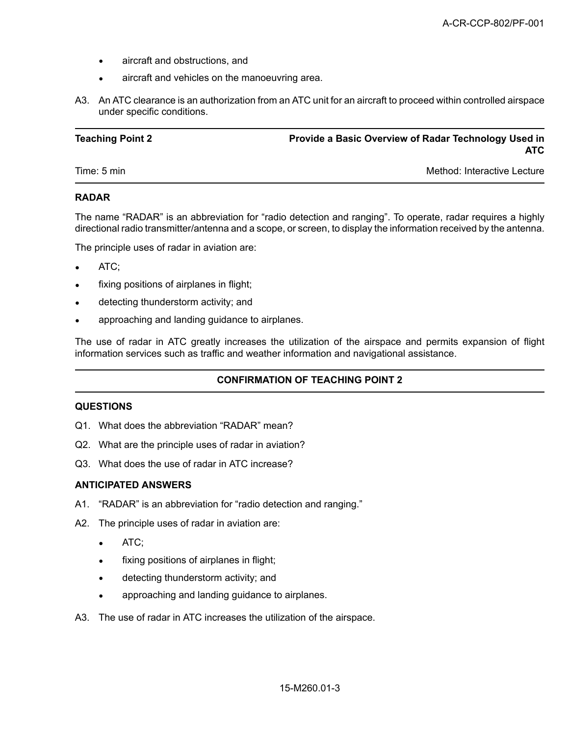- aircraft and obstructions, and
- aircraft and vehicles on the manoeuvring area.
- A3. An ATC clearance is an authorization from an ATC unit for an aircraft to proceed within controlled airspace under specific conditions.

**Teaching Point 2 Provide a Basic Overview of Radar Technology Used in ATC**

Time: 5 min Method: Interactive Lecture Company of Time: 5 min Method: Interactive Lecture

### **RADAR**

The name "RADAR" is an abbreviation for "radio detection and ranging". To operate, radar requires a highly directional radio transmitter/antenna and a scope, or screen, to display the information received by the antenna.

The principle uses of radar in aviation are:

- ATC;
- fixing positions of airplanes in flight;
- detecting thunderstorm activity; and
- approaching and landing guidance to airplanes.

The use of radar in ATC greatly increases the utilization of the airspace and permits expansion of flight information services such as traffic and weather information and navigational assistance.

### **CONFIRMATION OF TEACHING POINT 2**

### **QUESTIONS**

- Q1. What does the abbreviation "RADAR" mean?
- Q2. What are the principle uses of radar in aviation?
- Q3. What does the use of radar in ATC increase?

### **ANTICIPATED ANSWERS**

- A1. "RADAR" is an abbreviation for "radio detection and ranging."
- A2. The principle uses of radar in aviation are:
	- ATC;
	- fixing positions of airplanes in flight;
	- detecting thunderstorm activity; and
	- approaching and landing guidance to airplanes.
- A3. The use of radar in ATC increases the utilization of the airspace.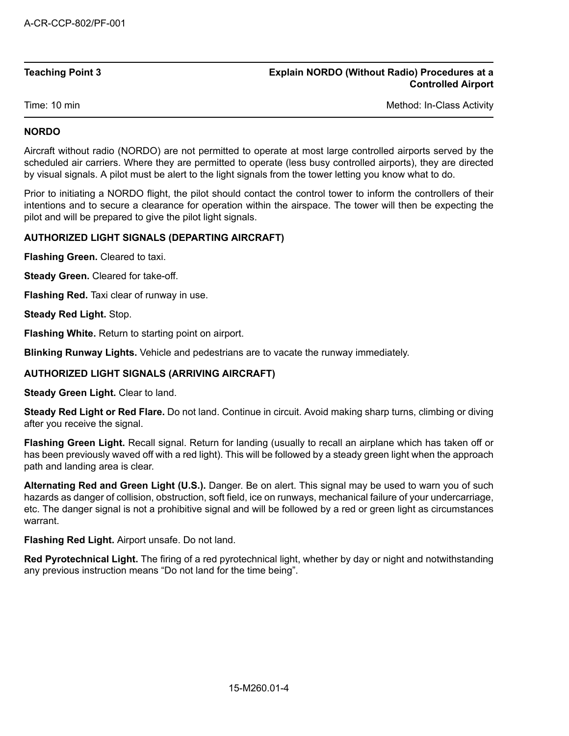### **Teaching Point 3 Explain NORDO (Without Radio) Procedures at a Controlled Airport**

Time: 10 min Method: In-Class Activity

### **NORDO**

Aircraft without radio (NORDO) are not permitted to operate at most large controlled airports served by the scheduled air carriers. Where they are permitted to operate (less busy controlled airports), they are directed by visual signals. A pilot must be alert to the light signals from the tower letting you know what to do.

Prior to initiating a NORDO flight, the pilot should contact the control tower to inform the controllers of their intentions and to secure a clearance for operation within the airspace. The tower will then be expecting the pilot and will be prepared to give the pilot light signals.

### **AUTHORIZED LIGHT SIGNALS (DEPARTING AIRCRAFT)**

**Flashing Green.** Cleared to taxi.

**Steady Green.** Cleared for take-off.

**Flashing Red.** Taxi clear of runway in use.

**Steady Red Light.** Stop.

**Flashing White.** Return to starting point on airport.

**Blinking Runway Lights.** Vehicle and pedestrians are to vacate the runway immediately.

### **AUTHORIZED LIGHT SIGNALS (ARRIVING AIRCRAFT)**

**Steady Green Light.** Clear to land.

**Steady Red Light or Red Flare.** Do not land. Continue in circuit. Avoid making sharp turns, climbing or diving after you receive the signal.

**Flashing Green Light.** Recall signal. Return for landing (usually to recall an airplane which has taken off or has been previously waved off with a red light). This will be followed by a steady green light when the approach path and landing area is clear.

**Alternating Red and Green Light (U.S.).** Danger. Be on alert. This signal may be used to warn you of such hazards as danger of collision, obstruction, soft field, ice on runways, mechanical failure of your undercarriage, etc. The danger signal is not a prohibitive signal and will be followed by a red or green light as circumstances warrant.

**Flashing Red Light.** Airport unsafe. Do not land.

**Red Pyrotechnical Light.** The firing of a red pyrotechnical light, whether by day or night and notwithstanding any previous instruction means "Do not land for the time being".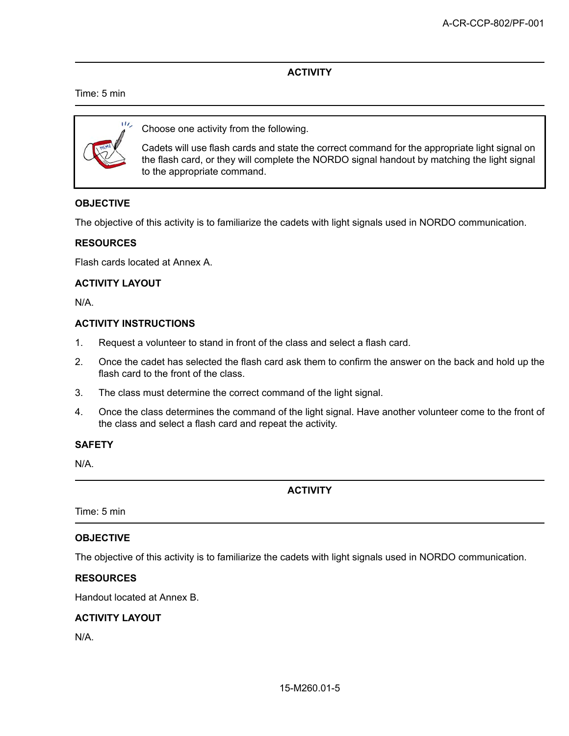### **ACTIVITY**

Time: 5 min



Choose one activity from the following.

Cadets will use flash cards and state the correct command for the appropriate light signal on the flash card, or they will complete the NORDO signal handout by matching the light signal to the appropriate command.

### **OBJECTIVE**

The objective of this activity is to familiarize the cadets with light signals used in NORDO communication.

### **RESOURCES**

Flash cards located at Annex A.

### **ACTIVITY LAYOUT**

N/A.

### **ACTIVITY INSTRUCTIONS**

- 1. Request a volunteer to stand in front of the class and select a flash card.
- 2. Once the cadet has selected the flash card ask them to confirm the answer on the back and hold up the flash card to the front of the class.
- 3. The class must determine the correct command of the light signal.
- 4. Once the class determines the command of the light signal. Have another volunteer come to the front of the class and select a flash card and repeat the activity.

### **SAFETY**

N/A.

### **ACTIVITY**

Time: 5 min

### **OBJECTIVE**

The objective of this activity is to familiarize the cadets with light signals used in NORDO communication.

### **RESOURCES**

Handout located at Annex B.

### **ACTIVITY LAYOUT**

N/A.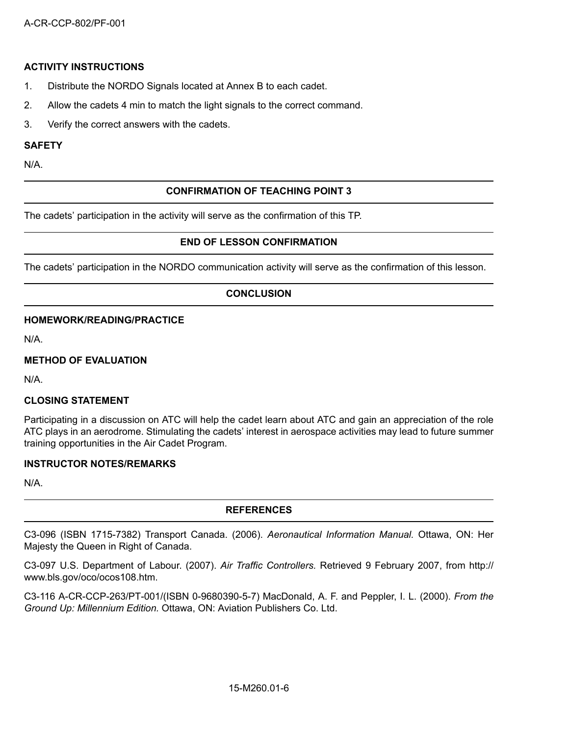### **ACTIVITY INSTRUCTIONS**

- 1. Distribute the NORDO Signals located at Annex B to each cadet.
- 2. Allow the cadets 4 min to match the light signals to the correct command.
- 3. Verify the correct answers with the cadets.

### **SAFETY**

N/A.

### **CONFIRMATION OF TEACHING POINT 3**

The cadets' participation in the activity will serve as the confirmation of this TP.

### **END OF LESSON CONFIRMATION**

The cadets' participation in the NORDO communication activity will serve as the confirmation of this lesson.

### **CONCLUSION**

### **HOMEWORK/READING/PRACTICE**

N/A.

### **METHOD OF EVALUATION**

N/A.

### **CLOSING STATEMENT**

Participating in a discussion on ATC will help the cadet learn about ATC and gain an appreciation of the role ATC plays in an aerodrome. Stimulating the cadets' interest in aerospace activities may lead to future summer training opportunities in the Air Cadet Program.

### **INSTRUCTOR NOTES/REMARKS**

N/A.

### **REFERENCES**

C3-096 (ISBN 1715-7382) Transport Canada. (2006). *Aeronautical Information Manual.* Ottawa, ON: Her Majesty the Queen in Right of Canada.

C3-097 U.S. Department of Labour. (2007). *Air Traffic Controllers.* Retrieved 9 February 2007, from http:// www.bls.gov/oco/ocos108.htm.

C3-116 A-CR-CCP-263/PT-001/(ISBN 0-9680390-5-7) MacDonald, A. F. and Peppler, I. L. (2000). *From the Ground Up: Millennium Edition.* Ottawa, ON: Aviation Publishers Co. Ltd.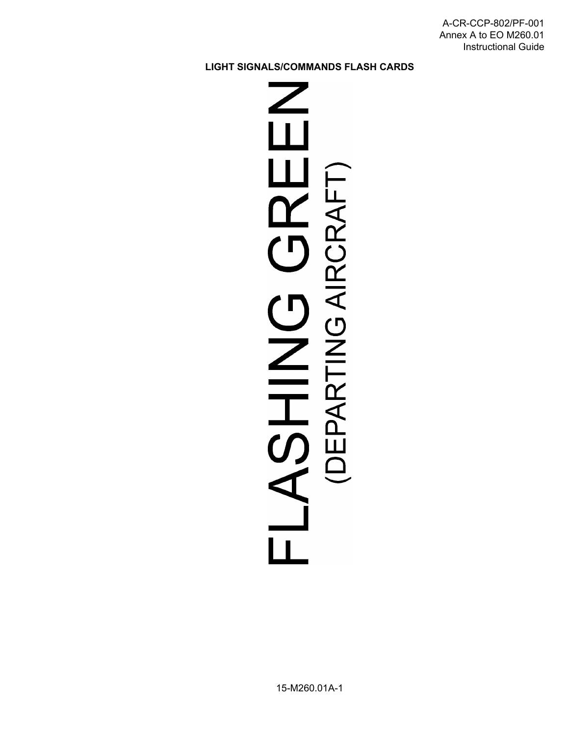**LIGHT SIGNALS/COMMANDS FLASH CARDS**

# **SHING GREET**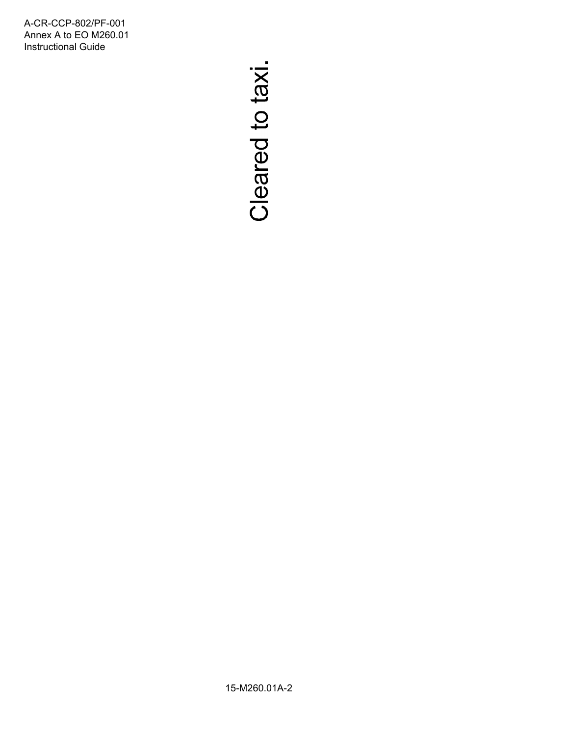Cleared to taxi.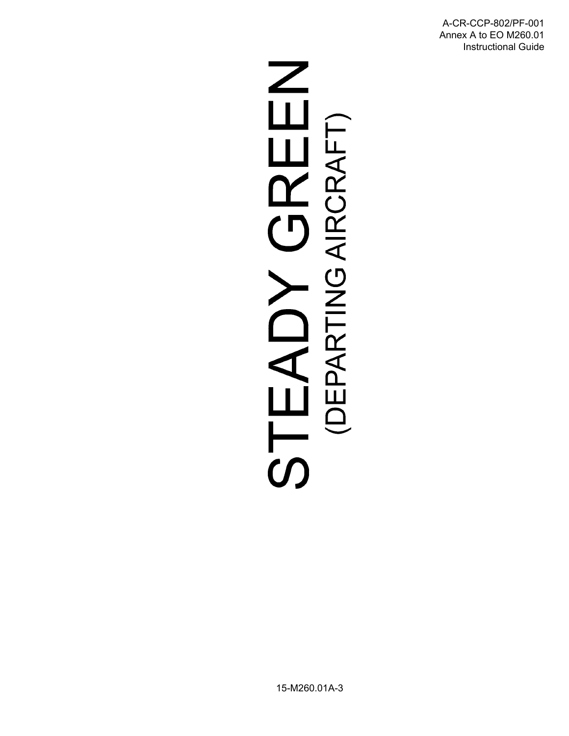A-CR-CCP-802/PF-001 Annex A to EO M260.01 Instructional Guide

### NHEL<br>ON DEPARTING AIRCRAFT  $\sum_{i=1}^{n}$  $\bm{C}$

15-M260.01A-3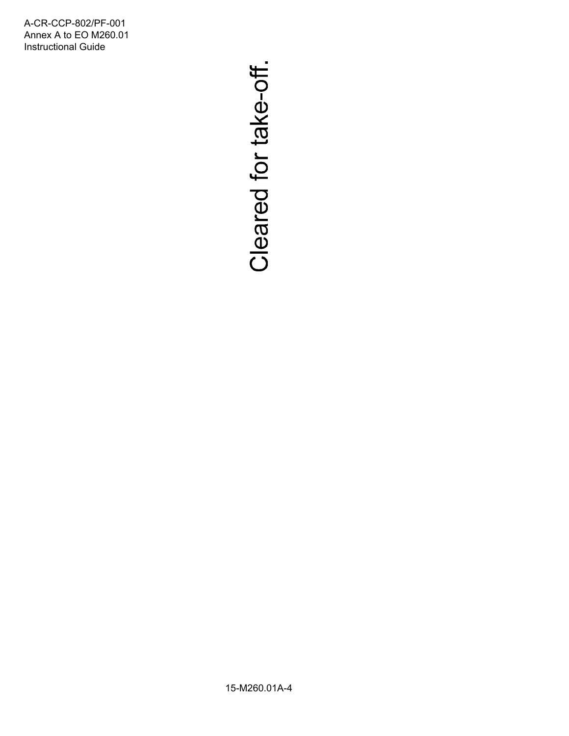Cleared for take-off.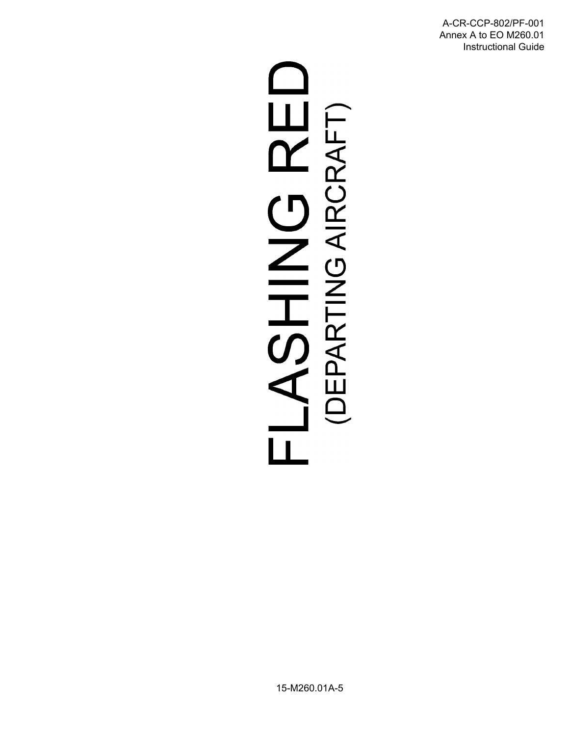A-CR-CCP-802/PF-001 Annex A to EO M260.01 Instructional Guide

## ASHING ARCRAFT)

15-M260.01A-5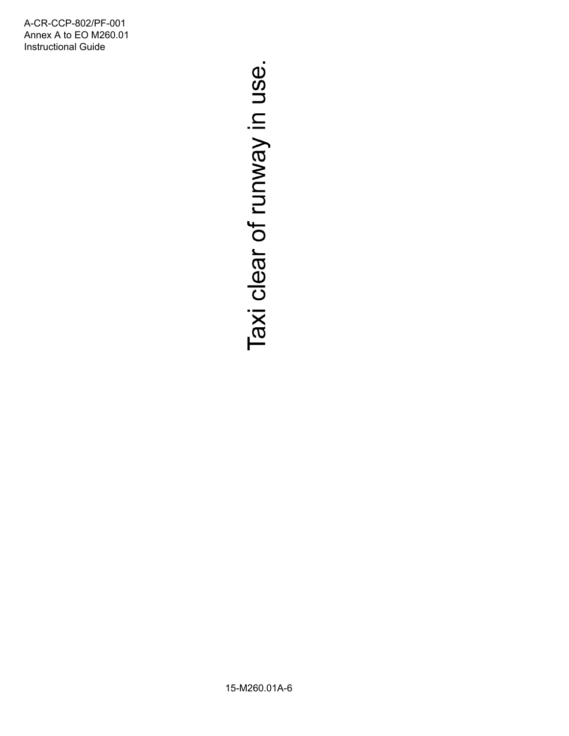Taxi clear of runway in use.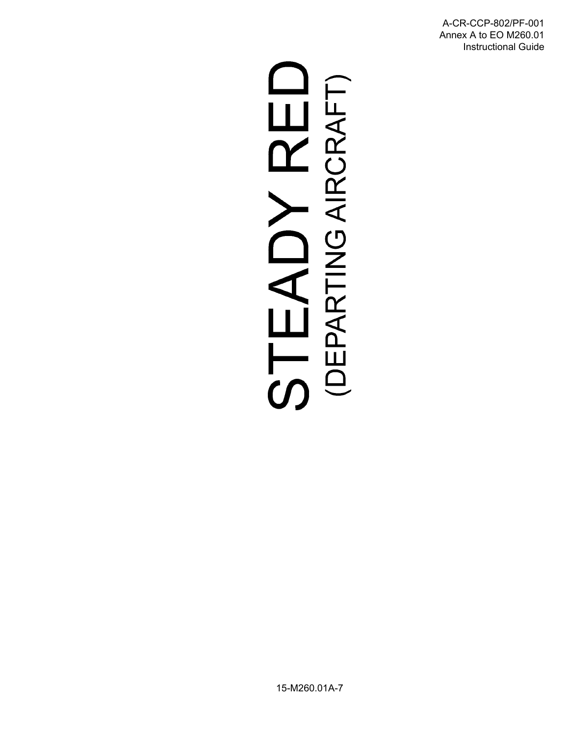## STEADYRCRAFT)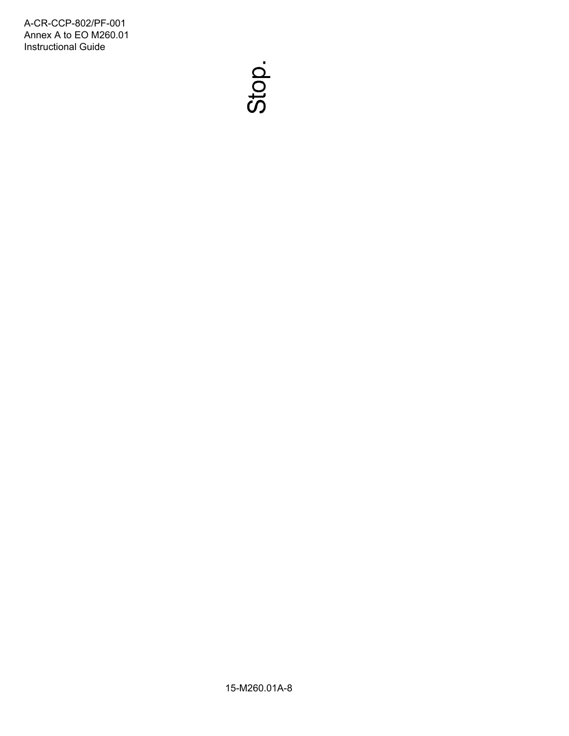A-CR-CCP-802/PF-001 Annex A to EO M260.01 Instructional Guide

### Stop.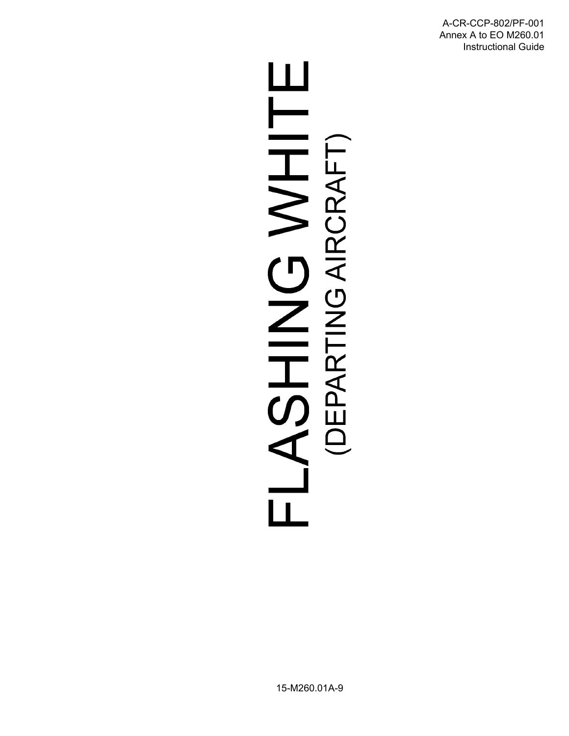A-CR-CCP-802/PF-001 Annex A to EO M260.01 Instructional Guide

## Ш SHINGARCRAFT

15-M260.01A-9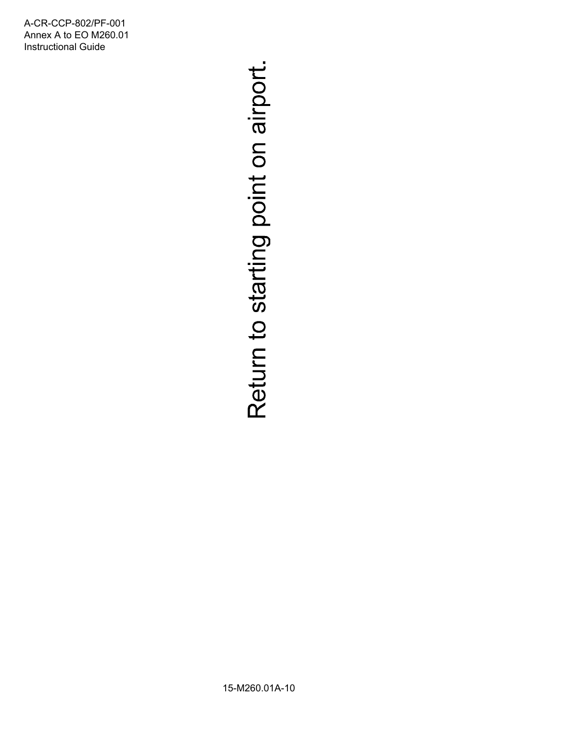Return to starting point on airport.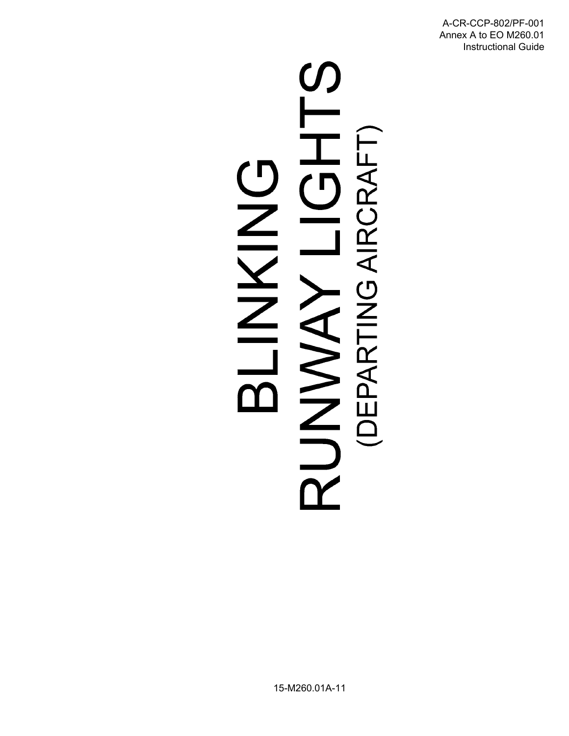### <u>(၇</u>  $\frac{1}{\eta}$  $\bigcirc$ TING AIRCRAI  $\frac{X}{Z}$ DEPART  $\sum_{i=1}^{n}$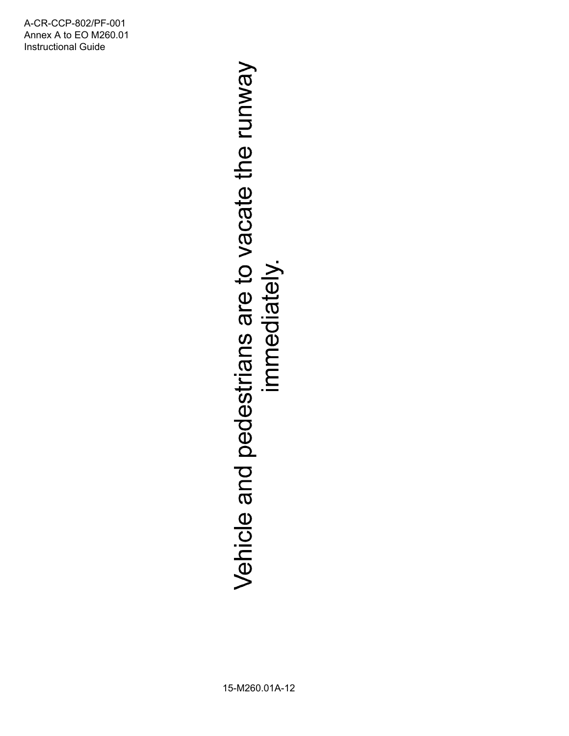# Vehicle and pedestrians are to vacate the runway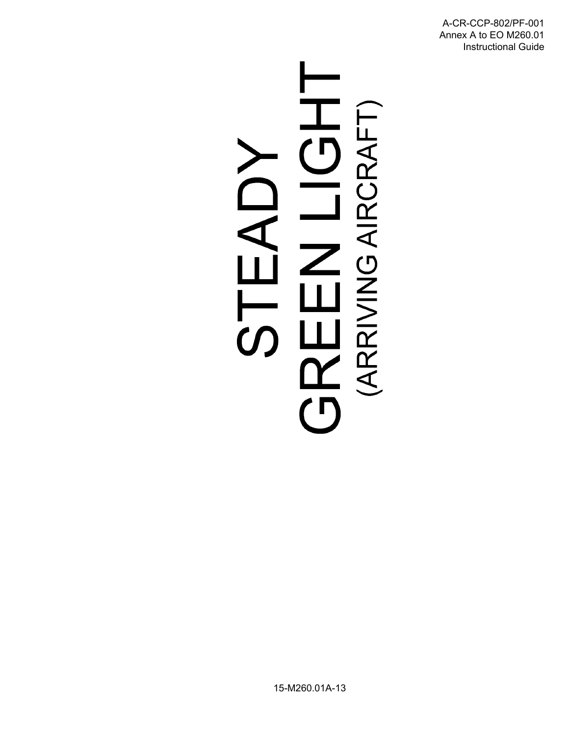## (ARRIVING AIRCRAFT) 古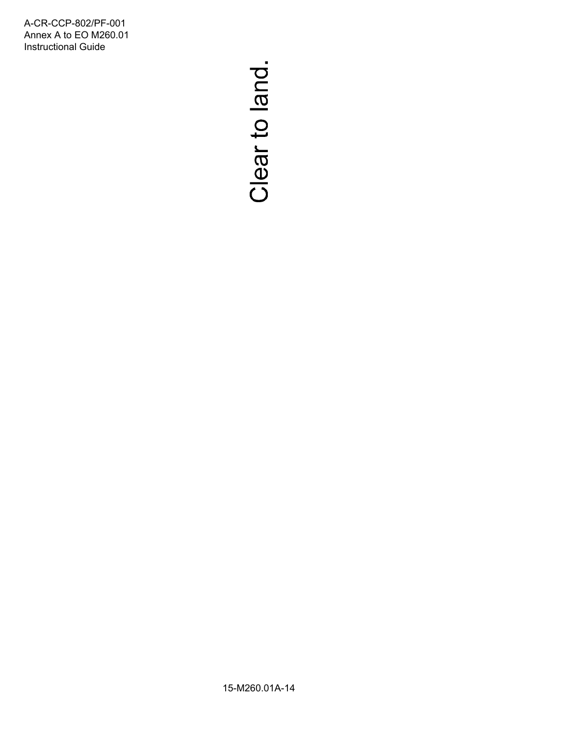## Clear to land.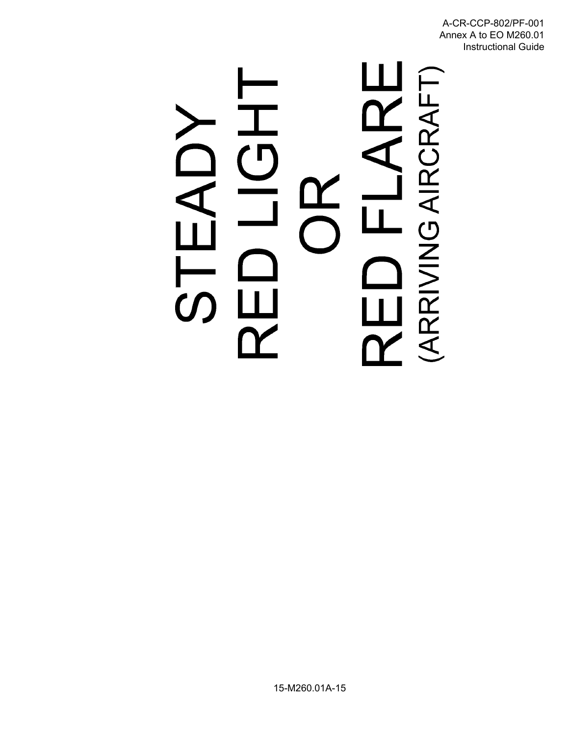### $\mathrel{\widehat{=}}$ (ARRIVING AIRCRAFT  $\overline{C}$  $\overline{\mathbf{I}}$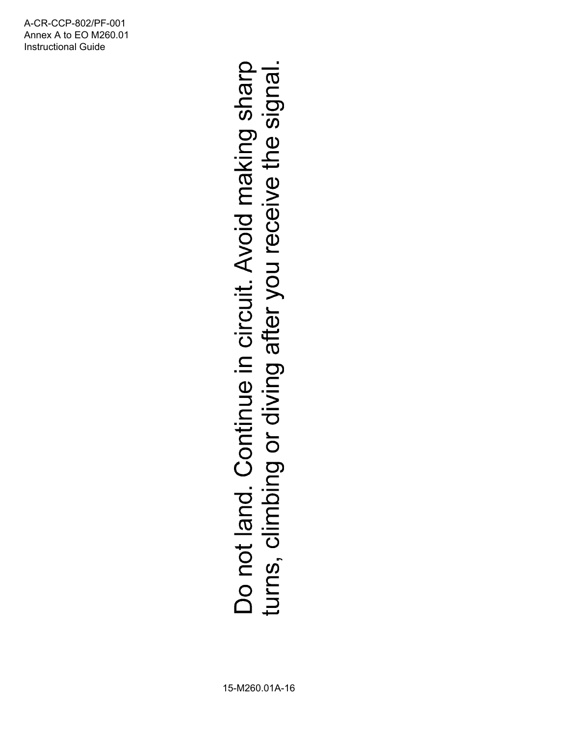Do not land. Continue in circuit. Avoid making sharp<br>turns, climbing or diving after you receive the signal.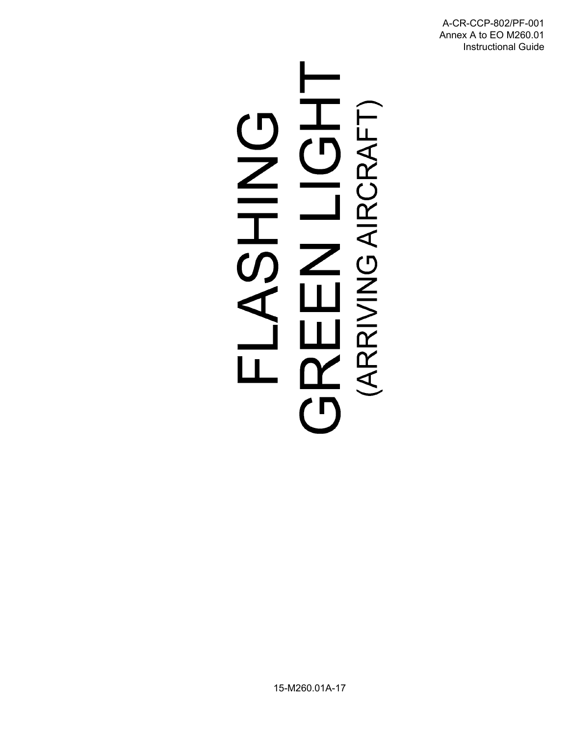## (ARRIVING AIRCRAFT)  $(\mathsf{L}% )\mathcal{M}_{\mathcal{A}}=\mathcal{M}_{\mathcal{A}}\mathcal{M}_{\mathcal{A}}$ T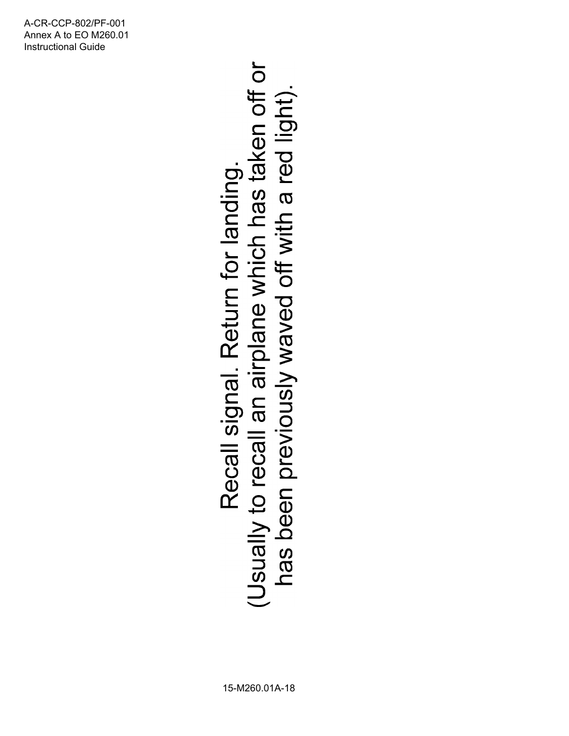(Usually to recall an airplane which has taken off or has been previously waved off with a red light). Recall signal. Return for landing.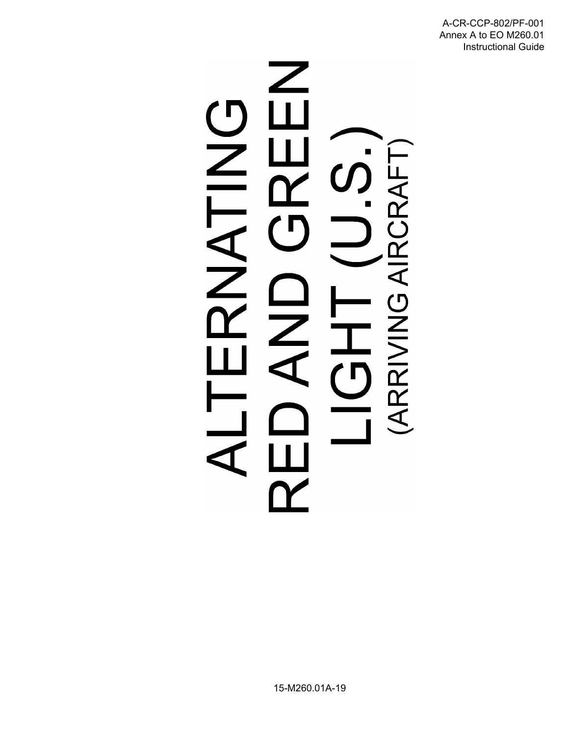A-CR-CCP-802/PF-001 Annex A to EO M260.01 Instructional Guide

## Z  $\mathfrak{c}$  r A<br>ONIV ARRIV

15-M260.01A-19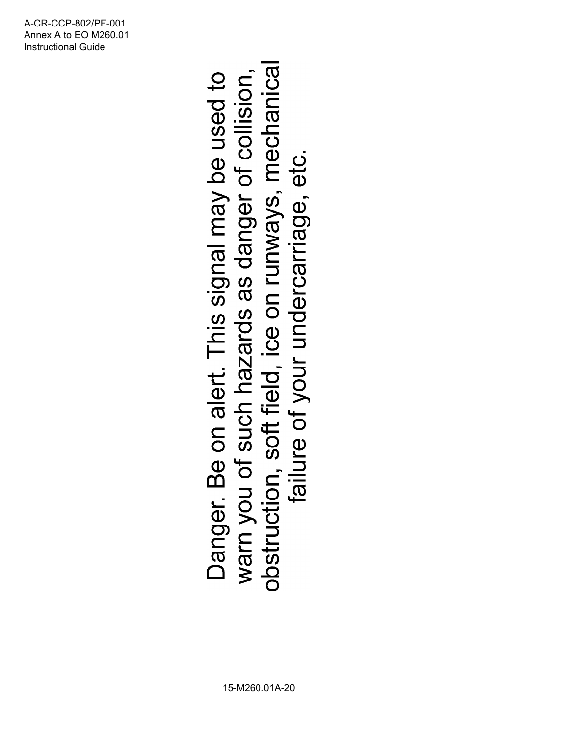obstruction, soft field, ice on runways, mechanica warn you of such hazards as danger of collision, Danger. Be on alert. This signal may be used to failure of your undercarriage, etc.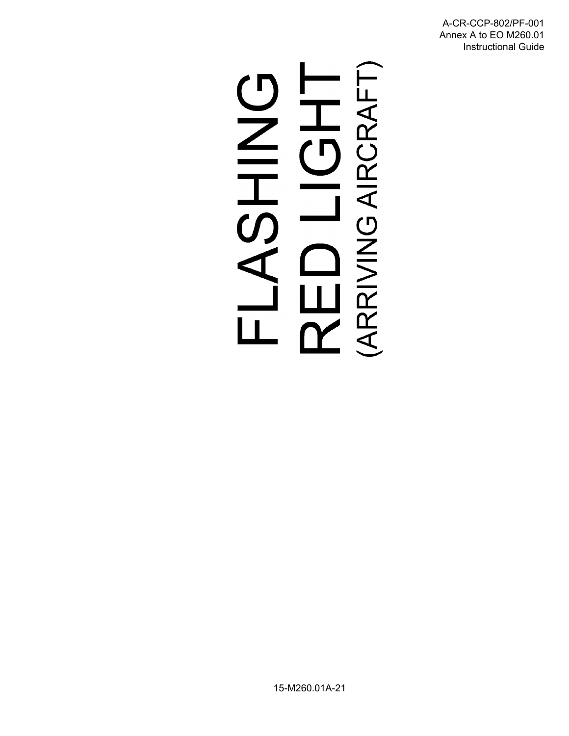## (ARRIVING AIRCRAFT)  $\binom{\Gamma}{\Gamma}$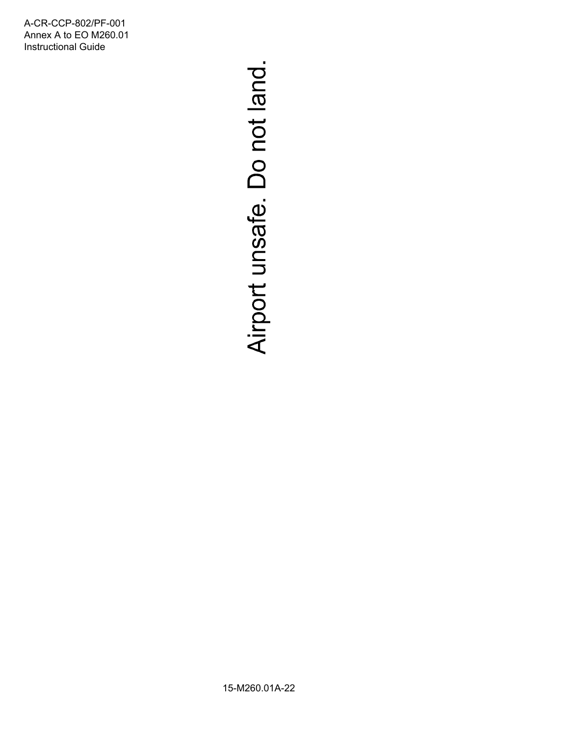Airport unsafe. Do not land.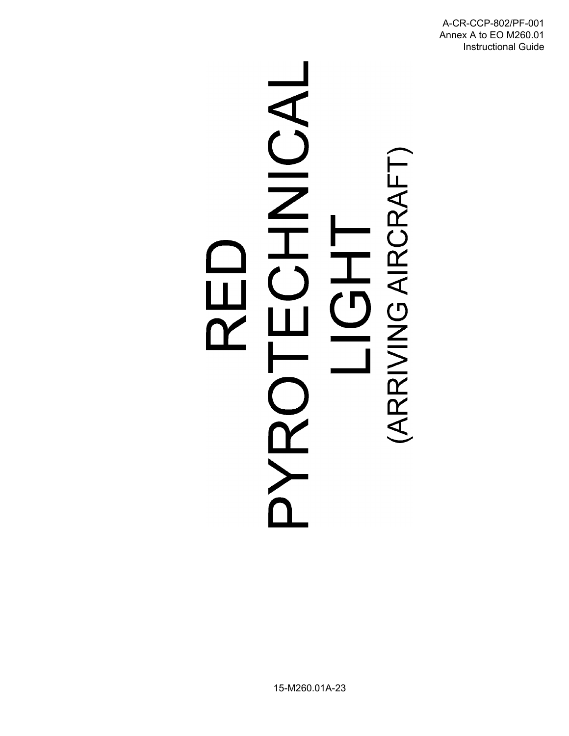A-CR-CCP-802/PF-001 Annex A to EO M260.01 Instructional Guide

## $\sum$ (ARRIVING AIRCRAFT)  $\overline{\phantom{0}}$  $\overline{\mathbf{L}}$

15-M260.01A-23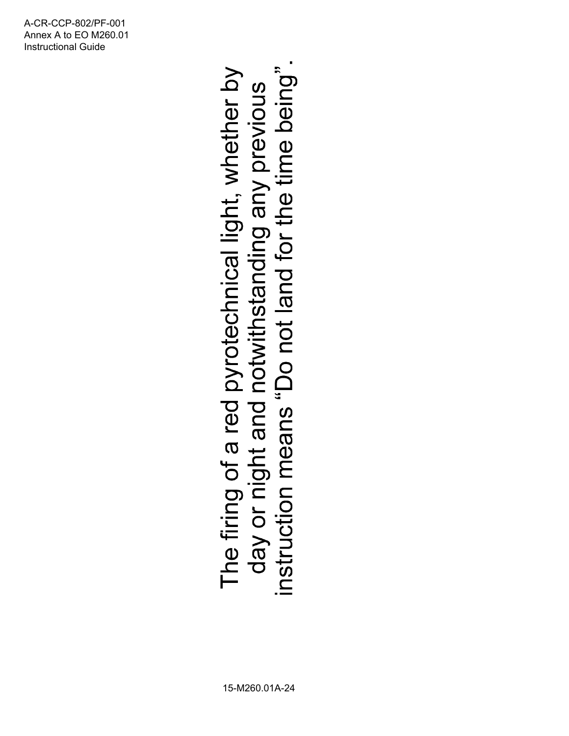instruction means "Do not land for the time being" The firing of a red pyrotechnical light, whether by<br>day or night and notwithstanding any previous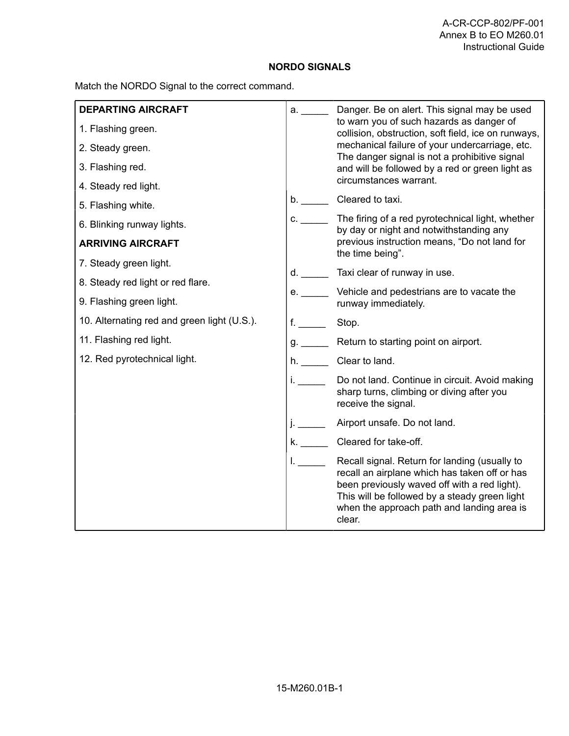### **NORDO SIGNALS**

Match the NORDO Signal to the correct command.

| <b>DEPARTING AIRCRAFT</b>                   | a.                                          | Danger. Be on alert. This signal may be used                                                                                                                                                                                                            |
|---------------------------------------------|---------------------------------------------|---------------------------------------------------------------------------------------------------------------------------------------------------------------------------------------------------------------------------------------------------------|
| 1. Flashing green.                          |                                             | to warn you of such hazards as danger of<br>collision, obstruction, soft field, ice on runways,                                                                                                                                                         |
| 2. Steady green.                            |                                             | mechanical failure of your undercarriage, etc.<br>The danger signal is not a prohibitive signal                                                                                                                                                         |
| 3. Flashing red.                            |                                             | and will be followed by a red or green light as                                                                                                                                                                                                         |
| 4. Steady red light.                        |                                             | circumstances warrant.                                                                                                                                                                                                                                  |
| 5. Flashing white.                          |                                             | b. _______ Cleared to taxi.                                                                                                                                                                                                                             |
| 6. Blinking runway lights.                  | c.                                          | The firing of a red pyrotechnical light, whether<br>by day or night and notwithstanding any                                                                                                                                                             |
| <b>ARRIVING AIRCRAFT</b>                    |                                             | previous instruction means, "Do not land for<br>the time being".                                                                                                                                                                                        |
| 7. Steady green light.                      |                                             | Taxi clear of runway in use.                                                                                                                                                                                                                            |
| 8. Steady red light or red flare.           | d.                                          |                                                                                                                                                                                                                                                         |
| 9. Flashing green light.                    |                                             | e. _______ Vehicle and pedestrians are to vacate the<br>runway immediately.                                                                                                                                                                             |
| 10. Alternating red and green light (U.S.). | $f_{\rm t}$ and $f_{\rm t}$ and $f_{\rm t}$ | Stop.                                                                                                                                                                                                                                                   |
| 11. Flashing red light.                     |                                             | g. ________ Return to starting point on airport.                                                                                                                                                                                                        |
| 12. Red pyrotechnical light.                |                                             | h. Clear to land.                                                                                                                                                                                                                                       |
|                                             | i. $\frac{1}{2}$                            | Do not land. Continue in circuit. Avoid making<br>sharp turns, climbing or diving after you<br>receive the signal.                                                                                                                                      |
|                                             |                                             | Airport unsafe. Do not land.                                                                                                                                                                                                                            |
|                                             |                                             | k. Cleared for take-off.                                                                                                                                                                                                                                |
|                                             | $L = 1$                                     | Recall signal. Return for landing (usually to<br>recall an airplane which has taken off or has<br>been previously waved off with a red light).<br>This will be followed by a steady green light<br>when the approach path and landing area is<br>clear. |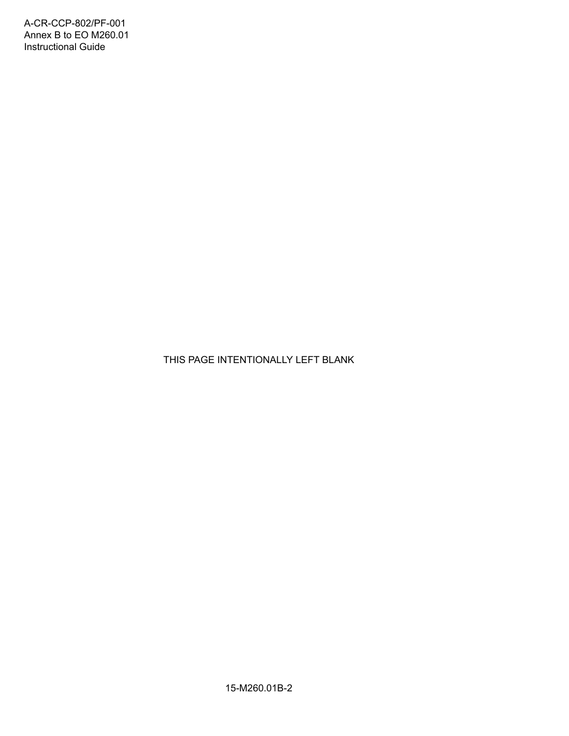THIS PAGE INTENTIONALLY LEFT BLANK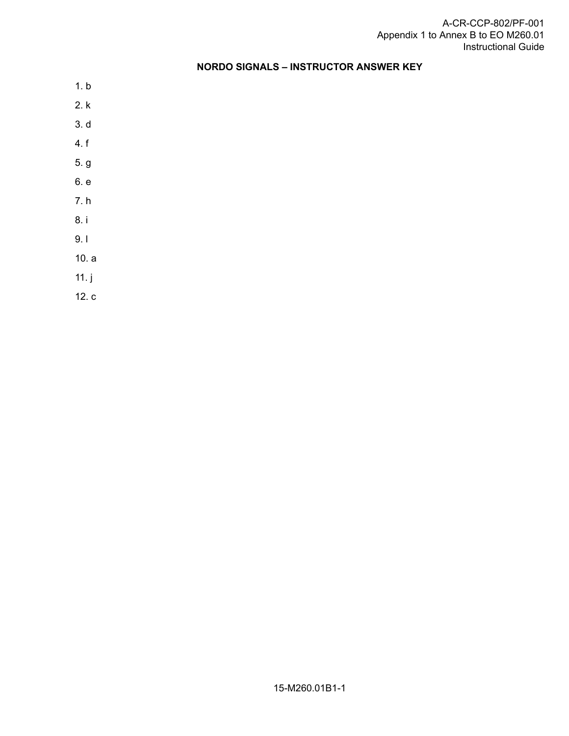### **NORDO SIGNALS – INSTRUCTOR ANSWER KEY**

- 1. b
- 2. k
- 3. d
- 4. f
- 5. g
- 6. e
- 7. h
- 8. i
- 9. l
- 10. a
- 11. j
- 12. c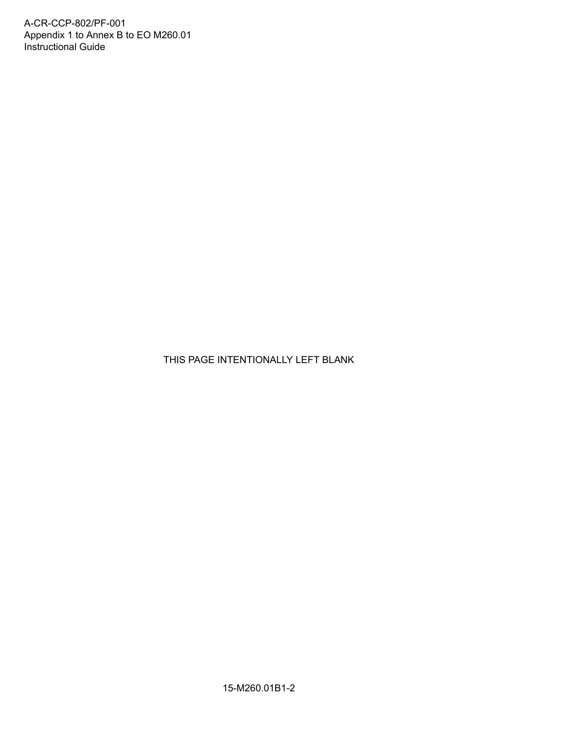A-CR-CCP-802/PF-001 Appendix 1 to Annex B to EO M260.01 Instructional Guide

### THIS PAGE INTENTIONALLY LEFT BLANK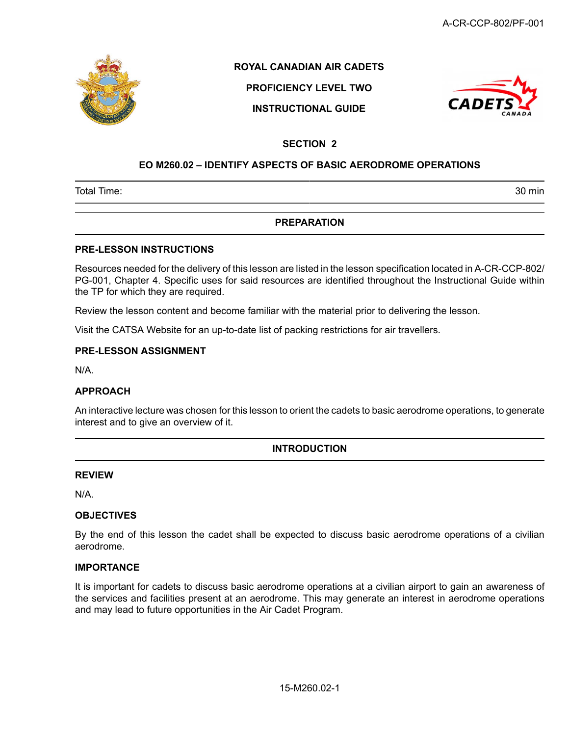

### **ROYAL CANADIAN AIR CADETS**

**PROFICIENCY LEVEL TWO**

### **INSTRUCTIONAL GUIDE**



#### **SECTION 2**

#### **EO M260.02 – IDENTIFY ASPECTS OF BASIC AERODROME OPERATIONS**

Total Time: 30 min

#### **PREPARATION**

#### **PRE-LESSON INSTRUCTIONS**

Resources needed for the delivery of this lesson are listed in the lesson specification located in A-CR-CCP-802/ PG-001, Chapter 4. Specific uses for said resources are identified throughout the Instructional Guide within the TP for which they are required.

Review the lesson content and become familiar with the material prior to delivering the lesson.

Visit the CATSA Website for an up-to-date list of packing restrictions for air travellers.

#### **PRE-LESSON ASSIGNMENT**

N/A.

#### **APPROACH**

An interactive lecture was chosen for this lesson to orient the cadets to basic aerodrome operations, to generate interest and to give an overview of it.

#### **INTRODUCTION**

#### **REVIEW**

N/A.

#### **OBJECTIVES**

By the end of this lesson the cadet shall be expected to discuss basic aerodrome operations of a civilian aerodrome.

#### **IMPORTANCE**

It is important for cadets to discuss basic aerodrome operations at a civilian airport to gain an awareness of the services and facilities present at an aerodrome. This may generate an interest in aerodrome operations and may lead to future opportunities in the Air Cadet Program.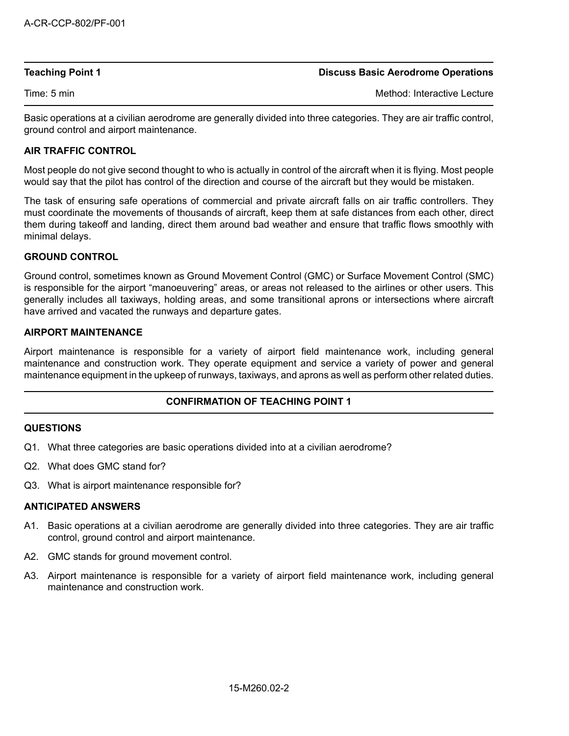| <b>Teaching Point 1</b> | <b>Discuss Basic Aerodrome Operations</b> |
|-------------------------|-------------------------------------------|
|                         |                                           |

Time: 5 min Method: Interactive Lecture Company of Time: 5 min Method: Interactive Lecture

Basic operations at a civilian aerodrome are generally divided into three categories. They are air traffic control, ground control and airport maintenance.

#### **AIR TRAFFIC CONTROL**

Most people do not give second thought to who is actually in control of the aircraft when it is flying. Most people would say that the pilot has control of the direction and course of the aircraft but they would be mistaken.

The task of ensuring safe operations of commercial and private aircraft falls on air traffic controllers. They must coordinate the movements of thousands of aircraft, keep them at safe distances from each other, direct them during takeoff and landing, direct them around bad weather and ensure that traffic flows smoothly with minimal delays.

#### **GROUND CONTROL**

Ground control, sometimes known as Ground Movement Control (GMC) or Surface Movement Control (SMC) is responsible for the airport "manoeuvering" areas, or areas not released to the airlines or other users. This generally includes all taxiways, holding areas, and some transitional aprons or intersections where aircraft have arrived and vacated the runways and departure gates.

#### **AIRPORT MAINTENANCE**

Airport maintenance is responsible for a variety of airport field maintenance work, including general maintenance and construction work. They operate equipment and service a variety of power and general maintenance equipment in the upkeep of runways, taxiways, and aprons as well as perform other related duties.

#### **CONFIRMATION OF TEACHING POINT 1**

#### **QUESTIONS**

- Q1. What three categories are basic operations divided into at a civilian aerodrome?
- Q2. What does GMC stand for?
- Q3. What is airport maintenance responsible for?

#### **ANTICIPATED ANSWERS**

- A1. Basic operations at a civilian aerodrome are generally divided into three categories. They are air traffic control, ground control and airport maintenance.
- A2. GMC stands for ground movement control.
- A3. Airport maintenance is responsible for a variety of airport field maintenance work, including general maintenance and construction work.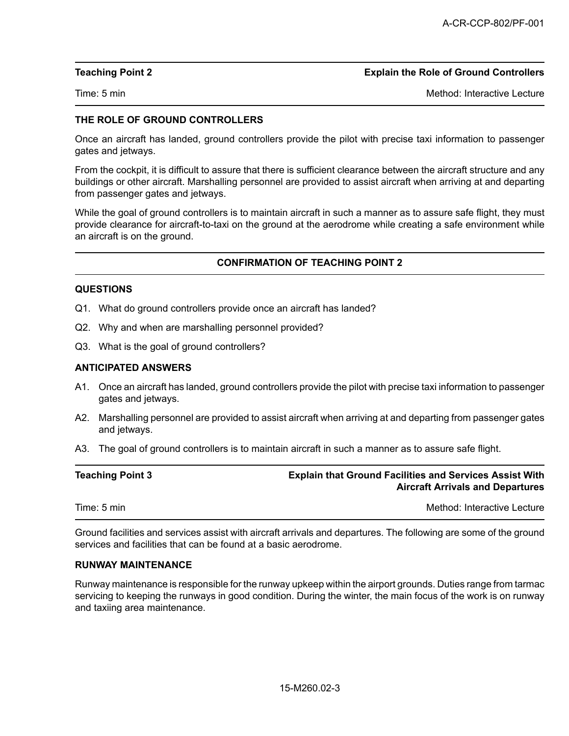#### **Teaching Point 2 Explain the Role of Ground Controllers**

Time: 5 min Method: Interactive Lecture Companies and Method: Interactive Lecture

#### **THE ROLE OF GROUND CONTROLLERS**

Once an aircraft has landed, ground controllers provide the pilot with precise taxi information to passenger gates and jetways.

From the cockpit, it is difficult to assure that there is sufficient clearance between the aircraft structure and any buildings or other aircraft. Marshalling personnel are provided to assist aircraft when arriving at and departing from passenger gates and jetways.

While the goal of ground controllers is to maintain aircraft in such a manner as to assure safe flight, they must provide clearance for aircraft-to-taxi on the ground at the aerodrome while creating a safe environment while an aircraft is on the ground.

#### **CONFIRMATION OF TEACHING POINT 2**

#### **QUESTIONS**

- Q1. What do ground controllers provide once an aircraft has landed?
- Q2. Why and when are marshalling personnel provided?
- Q3. What is the goal of ground controllers?

#### **ANTICIPATED ANSWERS**

- A1. Once an aircraft has landed, ground controllers provide the pilot with precise taxi information to passenger gates and jetways.
- A2. Marshalling personnel are provided to assist aircraft when arriving at and departing from passenger gates and jetways.
- A3. The goal of ground controllers is to maintain aircraft in such a manner as to assure safe flight.

| <b>Teaching Point 3</b> | <b>Explain that Ground Facilities and Services Assist With</b> |
|-------------------------|----------------------------------------------------------------|
|                         | <b>Aircraft Arrivals and Departures</b>                        |
| Time: $5 \text{ min}$   | Method: Interactive Lecture                                    |

Ground facilities and services assist with aircraft arrivals and departures. The following are some of the ground services and facilities that can be found at a basic aerodrome.

#### **RUNWAY MAINTENANCE**

Runway maintenance is responsible for the runway upkeep within the airport grounds. Duties range from tarmac servicing to keeping the runways in good condition. During the winter, the main focus of the work is on runway and taxiing area maintenance.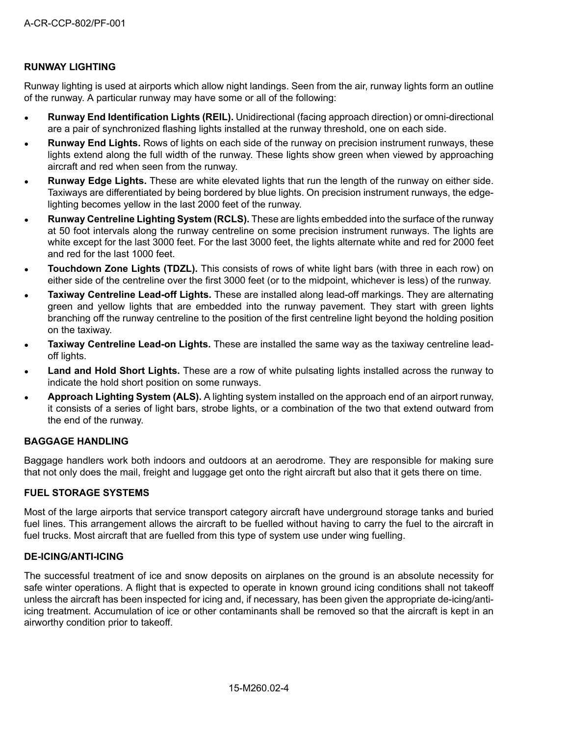#### **RUNWAY LIGHTING**

Runway lighting is used at airports which allow night landings. Seen from the air, runway lights form an outline of the runway. A particular runway may have some or all of the following:

- **Runway End Identification Lights (REIL).** Unidirectional (facing approach direction) or omni-directional are a pair of synchronized flashing lights installed at the runway threshold, one on each side.
- **Runway End Lights.** Rows of lights on each side of the runway on precision instrument runways, these lights extend along the full width of the runway. These lights show green when viewed by approaching aircraft and red when seen from the runway.
- **Runway Edge Lights.** These are white elevated lights that run the length of the runway on either side. Taxiways are differentiated by being bordered by blue lights. On precision instrument runways, the edgelighting becomes yellow in the last 2000 feet of the runway.
- **Runway Centreline Lighting System (RCLS).** These are lights embedded into the surface of the runway at 50 foot intervals along the runway centreline on some precision instrument runways. The lights are white except for the last 3000 feet. For the last 3000 feet, the lights alternate white and red for 2000 feet and red for the last 1000 feet.
- **Touchdown Zone Lights (TDZL).** This consists of rows of white light bars (with three in each row) on either side of the centreline over the first 3000 feet (or to the midpoint, whichever is less) of the runway.
- **Taxiway Centreline Lead-off Lights.** These are installed along lead-off markings. They are alternating green and yellow lights that are embedded into the runway pavement. They start with green lights branching off the runway centreline to the position of the first centreline light beyond the holding position on the taxiway.
- **Taxiway Centreline Lead-on Lights.** These are installed the same way as the taxiway centreline leadoff lights.
- **Land and Hold Short Lights.** These are a row of white pulsating lights installed across the runway to indicate the hold short position on some runways.
- **Approach Lighting System (ALS).** A lighting system installed on the approach end of an airport runway, it consists of a series of light bars, strobe lights, or a combination of the two that extend outward from the end of the runway.

#### **BAGGAGE HANDLING**

Baggage handlers work both indoors and outdoors at an aerodrome. They are responsible for making sure that not only does the mail, freight and luggage get onto the right aircraft but also that it gets there on time.

#### **FUEL STORAGE SYSTEMS**

Most of the large airports that service transport category aircraft have underground storage tanks and buried fuel lines. This arrangement allows the aircraft to be fuelled without having to carry the fuel to the aircraft in fuel trucks. Most aircraft that are fuelled from this type of system use under wing fuelling.

#### **DE-ICING/ANTI-ICING**

The successful treatment of ice and snow deposits on airplanes on the ground is an absolute necessity for safe winter operations. A flight that is expected to operate in known ground icing conditions shall not takeoff unless the aircraft has been inspected for icing and, if necessary, has been given the appropriate de-icing/antiicing treatment. Accumulation of ice or other contaminants shall be removed so that the aircraft is kept in an airworthy condition prior to takeoff.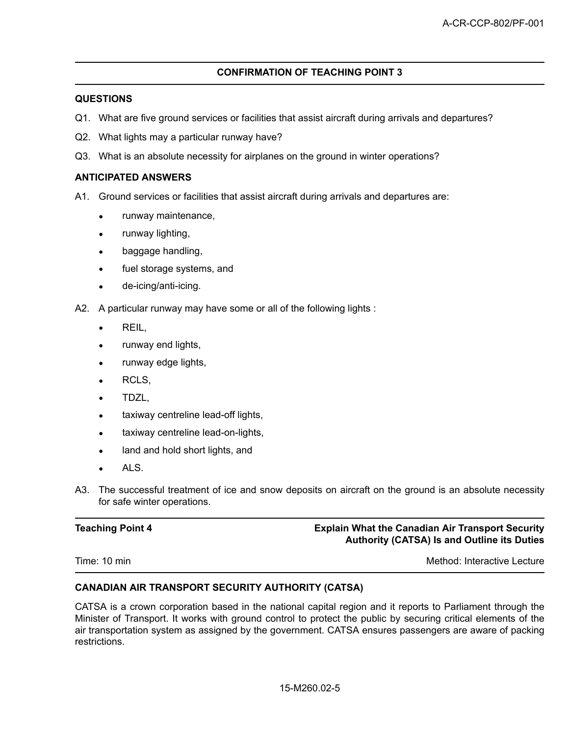#### **QUESTIONS**

- Q1. What are five ground services or facilities that assist aircraft during arrivals and departures?
- Q2. What lights may a particular runway have?
- Q3. What is an absolute necessity for airplanes on the ground in winter operations?

#### **ANTICIPATED ANSWERS**

- A1. Ground services or facilities that assist aircraft during arrivals and departures are:
	- runway maintenance,
	- runway lighting,
	- baggage handling,
	- fuel storage systems, and
	- de-icing/anti-icing.
- A2. A particular runway may have some or all of the following lights :
	- REIL,
	- runway end lights,
	- runway edge lights,
	- RCLS.
	- TDZL,
	- taxiway centreline lead-off lights,
	- taxiway centreline lead-on-lights,
	- land and hold short lights, and
	- ALS.
- A3. The successful treatment of ice and snow deposits on aircraft on the ground is an absolute necessity for safe winter operations.

#### **Teaching Point 4 Explain What the Canadian Air Transport Security Authority (CATSA) Is and Outline its Duties**

Time: 10 min Method: Interactive Lecture Companies And Method: Interactive Lecture

#### **CANADIAN AIR TRANSPORT SECURITY AUTHORITY (CATSA)**

CATSA is a crown corporation based in the national capital region and it reports to Parliament through the Minister of Transport. It works with ground control to protect the public by securing critical elements of the air transportation system as assigned by the government. CATSA ensures passengers are aware of packing restrictions.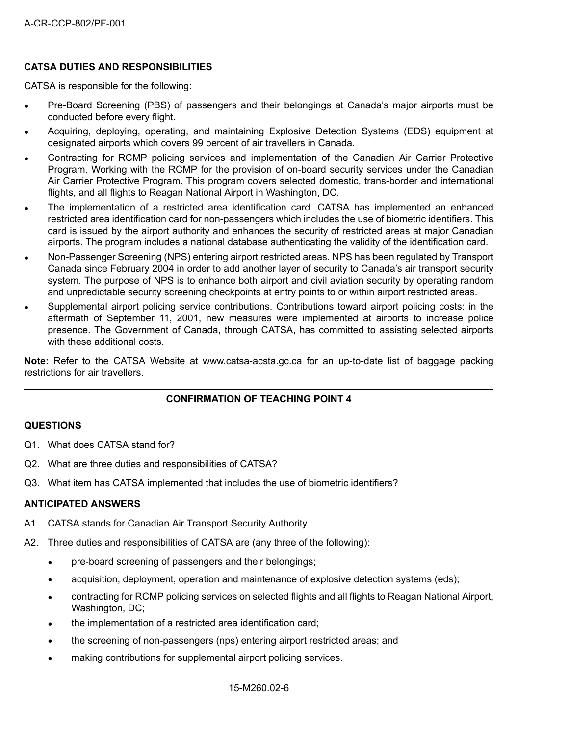#### **CATSA DUTIES AND RESPONSIBILITIES**

CATSA is responsible for the following:

- Pre-Board Screening (PBS) of passengers and their belongings at Canada's major airports must be conducted before every flight.
- Acquiring, deploying, operating, and maintaining Explosive Detection Systems (EDS) equipment at designated airports which covers 99 percent of air travellers in Canada.
- Contracting for RCMP policing services and implementation of the Canadian Air Carrier Protective Program. Working with the RCMP for the provision of on-board security services under the Canadian Air Carrier Protective Program. This program covers selected domestic, trans-border and international flights, and all flights to Reagan National Airport in Washington, DC.
- The implementation of a restricted area identification card. CATSA has implemented an enhanced restricted area identification card for non-passengers which includes the use of biometric identifiers. This card is issued by the airport authority and enhances the security of restricted areas at major Canadian airports. The program includes a national database authenticating the validity of the identification card.
- Non-Passenger Screening (NPS) entering airport restricted areas. NPS has been regulated by Transport Canada since February 2004 in order to add another layer of security to Canada's air transport security system. The purpose of NPS is to enhance both airport and civil aviation security by operating random and unpredictable security screening checkpoints at entry points to or within airport restricted areas.
- Supplemental airport policing service contributions. Contributions toward airport policing costs: in the aftermath of September 11, 2001, new measures were implemented at airports to increase police presence. The Government of Canada, through CATSA, has committed to assisting selected airports with these additional costs.

**Note:** Refer to the CATSA Website at www.catsa-acsta.gc.ca for an up-to-date list of baggage packing restrictions for air travellers.

#### **CONFIRMATION OF TEACHING POINT 4**

#### **QUESTIONS**

- Q1. What does CATSA stand for?
- Q2. What are three duties and responsibilities of CATSA?
- Q3. What item has CATSA implemented that includes the use of biometric identifiers?

#### **ANTICIPATED ANSWERS**

- A1. CATSA stands for Canadian Air Transport Security Authority.
- A2. Three duties and responsibilities of CATSA are (any three of the following):
	- pre-board screening of passengers and their belongings;
	- acquisition, deployment, operation and maintenance of explosive detection systems (eds);
	- contracting for RCMP policing services on selected flights and all flights to Reagan National Airport, Washington, DC;
	- the implementation of a restricted area identification card;
	- the screening of non-passengers (nps) entering airport restricted areas; and
	- making contributions for supplemental airport policing services.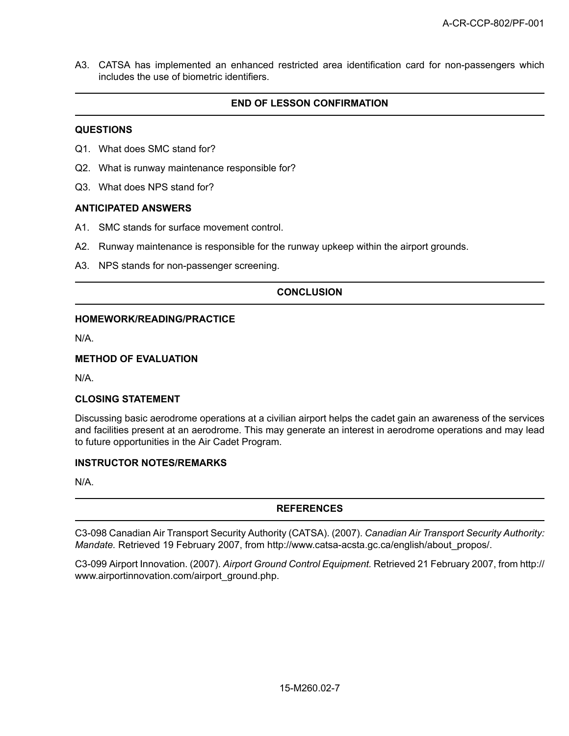A3. CATSA has implemented an enhanced restricted area identification card for non-passengers which includes the use of biometric identifiers.

#### **END OF LESSON CONFIRMATION**

#### **QUESTIONS**

- Q1. What does SMC stand for?
- Q2. What is runway maintenance responsible for?
- Q3. What does NPS stand for?

#### **ANTICIPATED ANSWERS**

- A1. SMC stands for surface movement control.
- A2. Runway maintenance is responsible for the runway upkeep within the airport grounds.
- A3. NPS stands for non-passenger screening.

#### **CONCLUSION**

#### **HOMEWORK/READING/PRACTICE**

N/A.

#### **METHOD OF EVALUATION**

N/A.

#### **CLOSING STATEMENT**

Discussing basic aerodrome operations at a civilian airport helps the cadet gain an awareness of the services and facilities present at an aerodrome. This may generate an interest in aerodrome operations and may lead to future opportunities in the Air Cadet Program.

#### **INSTRUCTOR NOTES/REMARKS**

N/A.

#### **REFERENCES**

C3-098 Canadian Air Transport Security Authority (CATSA). (2007). *Canadian Air Transport Security Authority: Mandate.* Retrieved 19 February 2007, from http://www.catsa-acsta.gc.ca/english/about\_propos/.

C3-099 Airport Innovation. (2007). *Airport Ground Control Equipment.* Retrieved 21 February 2007, from http:// www.airportinnovation.com/airport\_ground.php.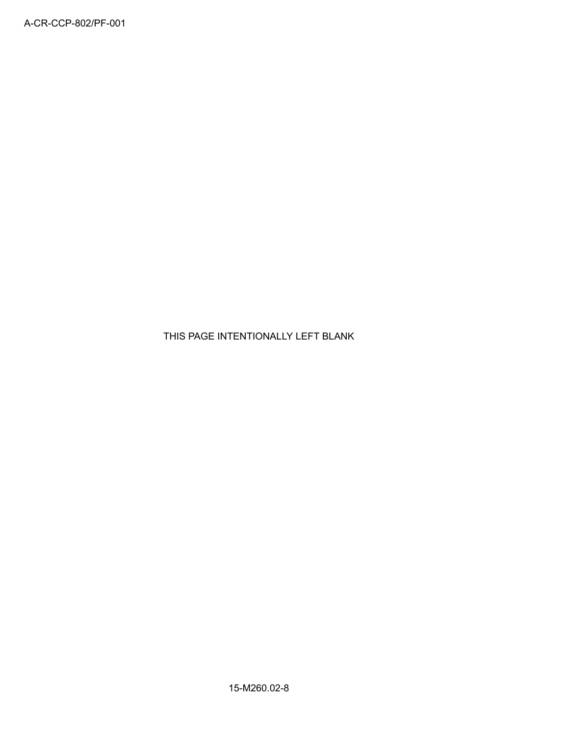THIS PAGE INTENTIONALLY LEFT BLANK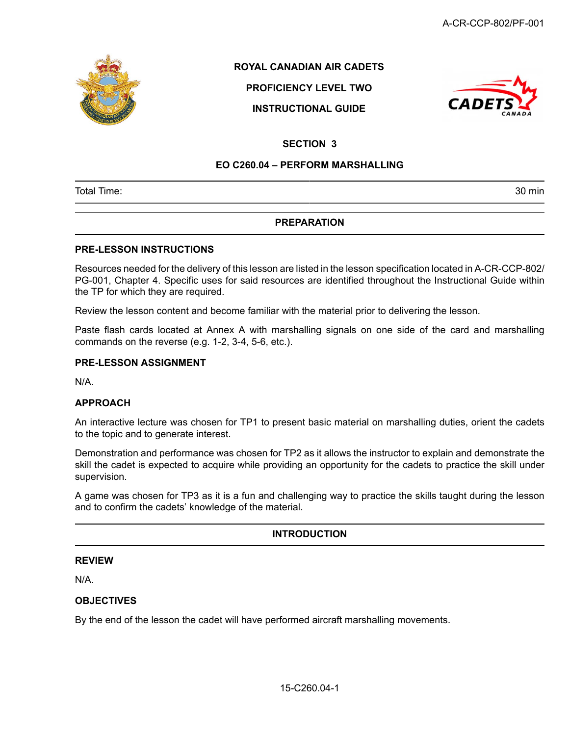

#### **ROYAL CANADIAN AIR CADETS**

### **PROFICIENCY LEVEL TWO**

#### **INSTRUCTIONAL GUIDE**



#### **SECTION 3**

#### **EO C260.04 – PERFORM MARSHALLING**

Total Time: 30 min

#### **PREPARATION**

#### **PRE-LESSON INSTRUCTIONS**

Resources needed for the delivery of this lesson are listed in the lesson specification located in A-CR-CCP-802/ PG-001, Chapter 4. Specific uses for said resources are identified throughout the Instructional Guide within the TP for which they are required.

Review the lesson content and become familiar with the material prior to delivering the lesson.

Paste flash cards located at Annex A with marshalling signals on one side of the card and marshalling commands on the reverse (e.g. 1-2, 3-4, 5-6, etc.).

#### **PRE-LESSON ASSIGNMENT**

N/A.

#### **APPROACH**

An interactive lecture was chosen for TP1 to present basic material on marshalling duties, orient the cadets to the topic and to generate interest.

Demonstration and performance was chosen for TP2 as it allows the instructor to explain and demonstrate the skill the cadet is expected to acquire while providing an opportunity for the cadets to practice the skill under supervision.

A game was chosen for TP3 as it is a fun and challenging way to practice the skills taught during the lesson and to confirm the cadets' knowledge of the material.

#### **INTRODUCTION**

#### **REVIEW**

N/A.

#### **OBJECTIVES**

By the end of the lesson the cadet will have performed aircraft marshalling movements.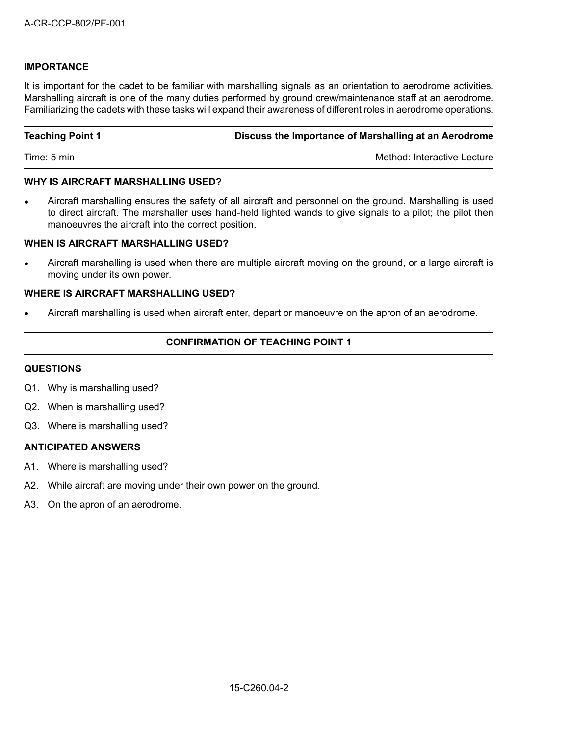#### **IMPORTANCE**

It is important for the cadet to be familiar with marshalling signals as an orientation to aerodrome activities. Marshalling aircraft is one of the many duties performed by ground crew/maintenance staff at an aerodrome. Familiarizing the cadets with these tasks will expand their awareness of different roles in aerodrome operations.

#### **Teaching Point 1 Discuss the Importance of Marshalling at an Aerodrome**

Time: 5 min Method: Interactive Lecture Contractive Lecture Contractive Lecture Contractive Lecture

#### **WHY IS AIRCRAFT MARSHALLING USED?**

• Aircraft marshalling ensures the safety of all aircraft and personnel on the ground. Marshalling is used to direct aircraft. The marshaller uses hand-held lighted wands to give signals to a pilot; the pilot then manoeuvres the aircraft into the correct position.

#### **WHEN IS AIRCRAFT MARSHALLING USED?**

• Aircraft marshalling is used when there are multiple aircraft moving on the ground, or a large aircraft is moving under its own power.

#### **WHERE IS AIRCRAFT MARSHALLING USED?**

• Aircraft marshalling is used when aircraft enter, depart or manoeuvre on the apron of an aerodrome.

#### **CONFIRMATION OF TEACHING POINT 1**

#### **QUESTIONS**

- Q1. Why is marshalling used?
- Q2. When is marshalling used?
- Q3. Where is marshalling used?

#### **ANTICIPATED ANSWERS**

- A1. Where is marshalling used?
- A2. While aircraft are moving under their own power on the ground.
- A3. On the apron of an aerodrome.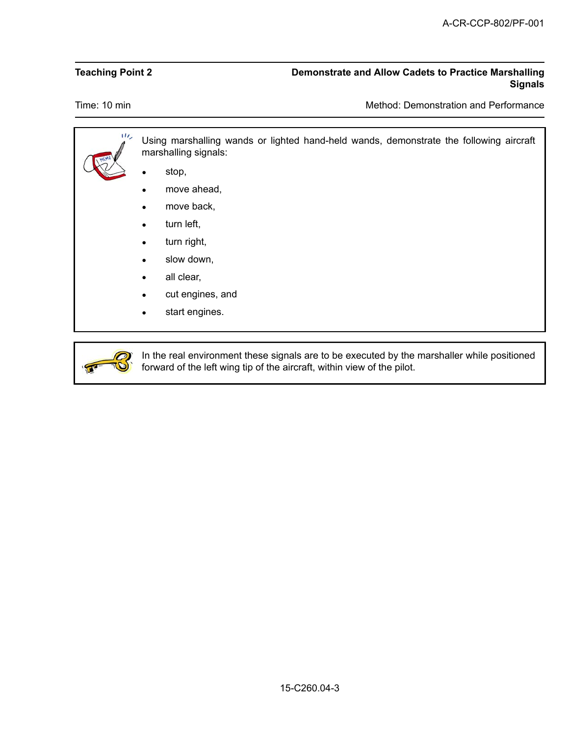#### **Teaching Point 2 Demonstrate and Allow Cadets to Practice Marshalling Signals**

Time: 10 min Method: Demonstration and Performance

 $\mathbf{u}_i$ Using marshalling wands or lighted hand-held wands, demonstrate the following aircraft marshalling signals: stop, move ahead, move back, turn left, • • turn right, slow down, all clear, cut engines, and • start engines.



In the real environment these signals are to be executed by the marshaller while positioned forward of the left wing tip of the aircraft, within view of the pilot.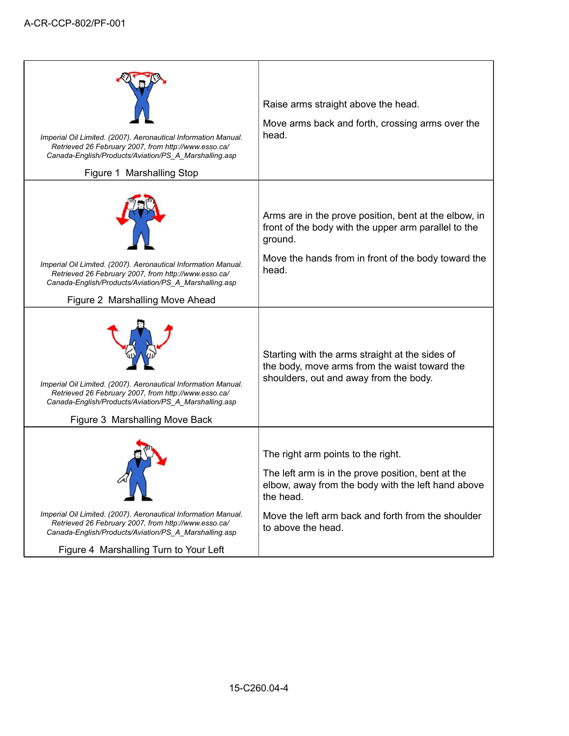| Imperial Oil Limited. (2007). Aeronautical Information Manual.<br>Retrieved 26 February 2007, from http://www.esso.ca/<br>Canada-English/Products/Aviation/PS_A_Marshalling.asp<br>Figure 1 Marshalling Stop              | Raise arms straight above the head.<br>Move arms back and forth, crossing arms over the<br>head.                                                                                                                                        |
|---------------------------------------------------------------------------------------------------------------------------------------------------------------------------------------------------------------------------|-----------------------------------------------------------------------------------------------------------------------------------------------------------------------------------------------------------------------------------------|
| Imperial Oil Limited. (2007). Aeronautical Information Manual.<br>Retrieved 26 February 2007, from http://www.esso.ca/<br>Canada-English/Products/Aviation/PS_A_Marshalling.asp<br>Figure 2 Marshalling Move Ahead        | Arms are in the prove position, bent at the elbow, in<br>front of the body with the upper arm parallel to the<br>ground.<br>Move the hands from in front of the body toward the<br>head.                                                |
| Imperial Oil Limited. (2007). Aeronautical Information Manual.<br>Retrieved 26 February 2007, from http://www.esso.ca/<br>Canada-English/Products/Aviation/PS_A_Marshalling.asp<br>Figure 3 Marshalling Move Back         | Starting with the arms straight at the sides of<br>the body, move arms from the waist toward the<br>shoulders, out and away from the body.                                                                                              |
| Imperial Oil Limited. (2007). Aeronautical Information Manual.<br>Retrieved 26 February 2007, from http://www.esso.ca/<br>Canada-English/Products/Aviation/PS_A_Marshalling.asp<br>Figure 4 Marshalling Turn to Your Left | The right arm points to the right.<br>The left arm is in the prove position, bent at the<br>elbow, away from the body with the left hand above<br>the head.<br>Move the left arm back and forth from the shoulder<br>to above the head. |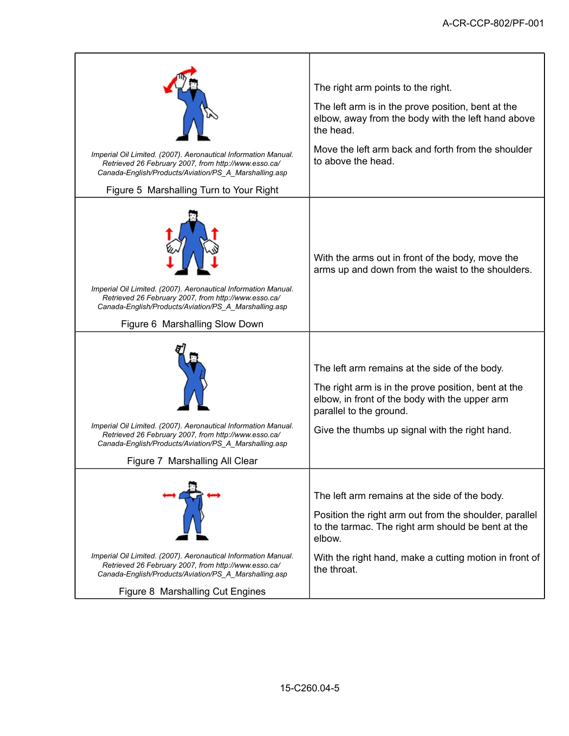| Imperial Oil Limited. (2007). Aeronautical Information Manual.<br>Retrieved 26 February 2007, from http://www.esso.ca/<br>Canada-English/Products/Aviation/PS_A_Marshalling.asp<br>Figure 5 Marshalling Turn to Your Right | The right arm points to the right.<br>The left arm is in the prove position, bent at the<br>elbow, away from the body with the left hand above<br>the head.<br>Move the left arm back and forth from the shoulder<br>to above the head.          |
|----------------------------------------------------------------------------------------------------------------------------------------------------------------------------------------------------------------------------|--------------------------------------------------------------------------------------------------------------------------------------------------------------------------------------------------------------------------------------------------|
| Imperial Oil Limited. (2007). Aeronautical Information Manual.<br>Retrieved 26 February 2007, from http://www.esso.ca/<br>Canada-English/Products/Aviation/PS_A_Marshalling.asp<br>Figure 6 Marshalling Slow Down          | With the arms out in front of the body, move the<br>arms up and down from the waist to the shoulders.                                                                                                                                            |
| Imperial Oil Limited. (2007). Aeronautical Information Manual.<br>Retrieved 26 February 2007, from http://www.esso.ca/<br>Canada-English/Products/Aviation/PS_A_Marshalling.asp<br>Figure 7 Marshalling All Clear          | The left arm remains at the side of the body.<br>The right arm is in the prove position, bent at the<br>elbow, in front of the body with the upper arm<br>parallel to the ground.<br>Give the thumbs up signal with the right hand.              |
| Imperial Oil Limited. (2007). Aeronautical Information Manual.<br>Retrieved 26 February 2007, from http://www.esso.ca/<br>Canada-English/Products/Aviation/PS_A_Marshalling.asp<br>Figure 8 Marshalling Cut Engines        | The left arm remains at the side of the body.<br>Position the right arm out from the shoulder, parallel<br>to the tarmac. The right arm should be bent at the<br>elbow.<br>With the right hand, make a cutting motion in front of<br>the throat. |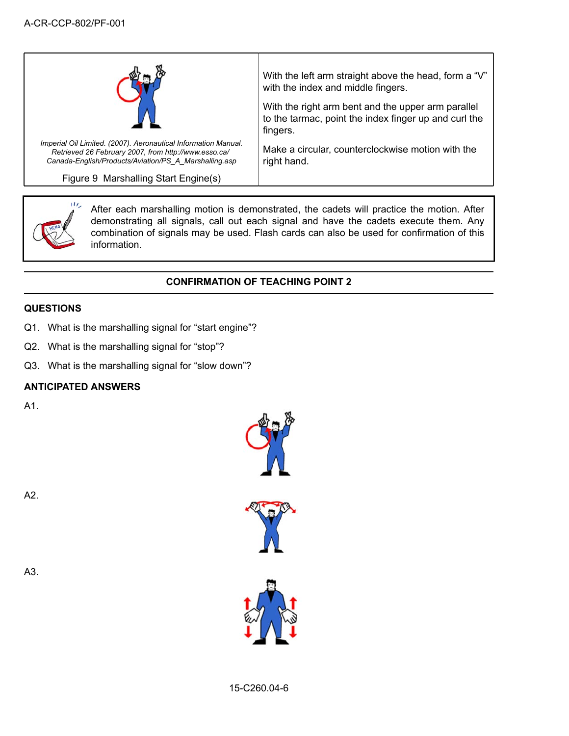

*Imperial Oil Limited. (2007). Aeronautical Information Manual. Retrieved 26 February 2007, from http://www.esso.ca/ Canada-English/Products/Aviation/PS\_A\_Marshalling.asp*

Figure 9 Marshalling Start Engine(s)

With the left arm straight above the head, form a "V" with the index and middle fingers.

With the right arm bent and the upper arm parallel to the tarmac, point the index finger up and curl the fingers.

Make a circular, counterclockwise motion with the right hand.



After each marshalling motion is demonstrated, the cadets will practice the motion. After demonstrating all signals, call out each signal and have the cadets execute them. Any combination of signals may be used. Flash cards can also be used for confirmation of this information.

### **CONFIRMATION OF TEACHING POINT 2**

#### **QUESTIONS**

- Q1. What is the marshalling signal for "start engine"?
- Q2. What is the marshalling signal for "stop"?
- Q3. What is the marshalling signal for "slow down"?

### **ANTICIPATED ANSWERS**

A1.



A3.





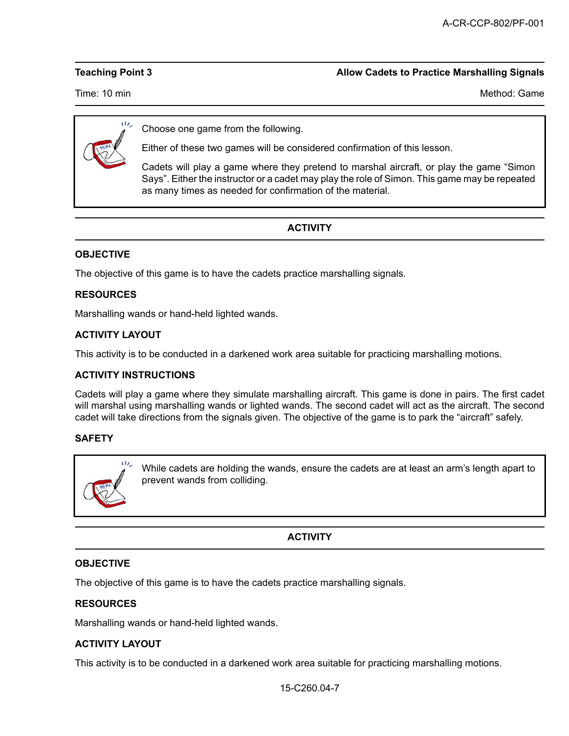#### **Teaching Point 3 Allow Cadets to Practice Marshalling Signals**

Time: 10 min Method: Game



Choose one game from the following.

Either of these two games will be considered confirmation of this lesson.

Cadets will play a game where they pretend to marshal aircraft, or play the game "Simon Says". Either the instructor or a cadet may play the role of Simon. This game may be repeated as many times as needed for confirmation of the material.

### **ACTIVITY**

#### **OBJECTIVE**

The objective of this game is to have the cadets practice marshalling signals.

#### **RESOURCES**

Marshalling wands or hand-held lighted wands.

#### **ACTIVITY LAYOUT**

This activity is to be conducted in a darkened work area suitable for practicing marshalling motions.

#### **ACTIVITY INSTRUCTIONS**

Cadets will play a game where they simulate marshalling aircraft. This game is done in pairs. The first cadet will marshal using marshalling wands or lighted wands. The second cadet will act as the aircraft. The second cadet will take directions from the signals given. The objective of the game is to park the "aircraft" safely.

#### **SAFETY**



While cadets are holding the wands, ensure the cadets are at least an arm's length apart to prevent wands from colliding.

### **ACTIVITY**

#### **OBJECTIVE**

The objective of this game is to have the cadets practice marshalling signals.

#### **RESOURCES**

Marshalling wands or hand-held lighted wands.

#### **ACTIVITY LAYOUT**

This activity is to be conducted in a darkened work area suitable for practicing marshalling motions.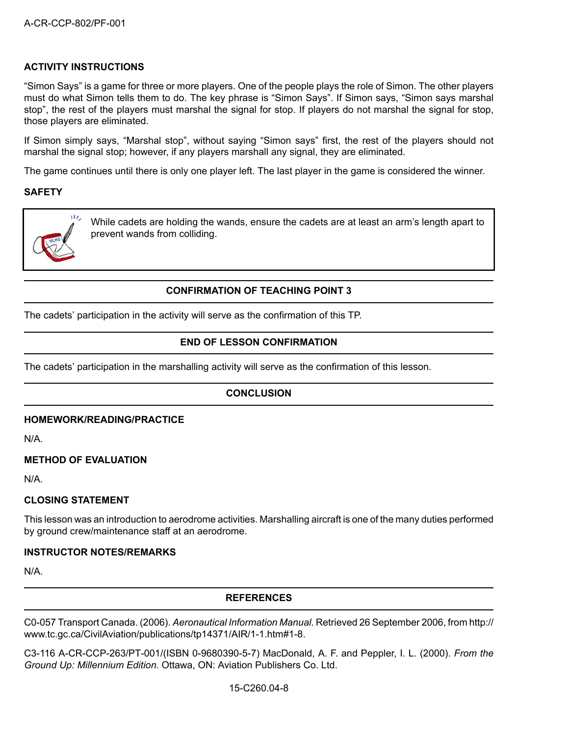#### **ACTIVITY INSTRUCTIONS**

"Simon Says" is a game for three or more players. One of the people plays the role of Simon. The other players must do what Simon tells them to do. The key phrase is "Simon Says". If Simon says, "Simon says marshal stop", the rest of the players must marshal the signal for stop. If players do not marshal the signal for stop, those players are eliminated.

If Simon simply says, "Marshal stop", without saying "Simon says" first, the rest of the players should not marshal the signal stop; however, if any players marshall any signal, they are eliminated.

The game continues until there is only one player left. The last player in the game is considered the winner.

#### **SAFETY**



While cadets are holding the wands, ensure the cadets are at least an arm's length apart to prevent wands from colliding.

#### **CONFIRMATION OF TEACHING POINT 3**

The cadets' participation in the activity will serve as the confirmation of this TP.

#### **END OF LESSON CONFIRMATION**

The cadets' participation in the marshalling activity will serve as the confirmation of this lesson.

#### **CONCLUSION**

#### **HOMEWORK/READING/PRACTICE**

N/A.

#### **METHOD OF EVALUATION**

N/A.

#### **CLOSING STATEMENT**

This lesson was an introduction to aerodrome activities. Marshalling aircraft is one of the many duties performed by ground crew/maintenance staff at an aerodrome.

#### **INSTRUCTOR NOTES/REMARKS**

N/A.

#### **REFERENCES**

C0-057 Transport Canada. (2006). *Aeronautical Information Manual.* Retrieved 26 September 2006, from http:// www.tc.gc.ca/CivilAviation/publications/tp14371/AIR/1-1.htm#1-8.

C3-116 A-CR-CCP-263/PT-001/(ISBN 0-9680390-5-7) MacDonald, A. F. and Peppler, I. L. (2000). *From the Ground Up: Millennium Edition.* Ottawa, ON: Aviation Publishers Co. Ltd.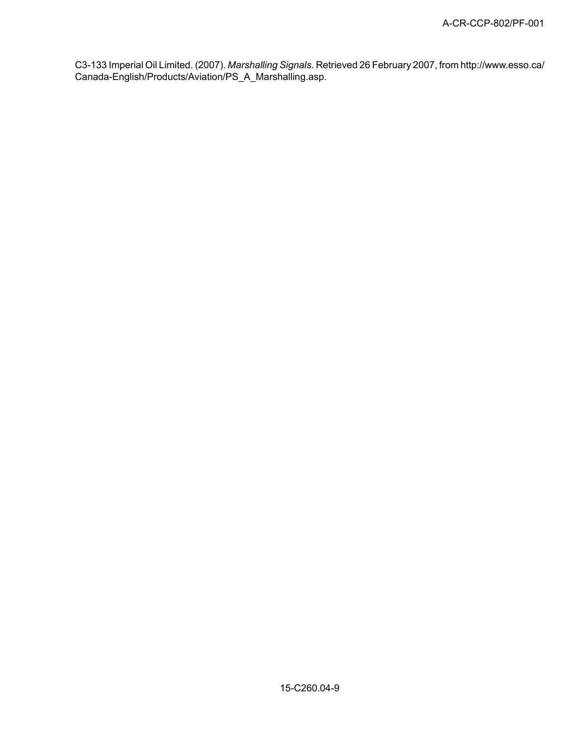C3-133 Imperial Oil Limited. (2007). *Marshalling Signals.* Retrieved 26 February 2007, from http://www.esso.ca/ Canada-English/Products/Aviation/PS\_A\_Marshalling.asp.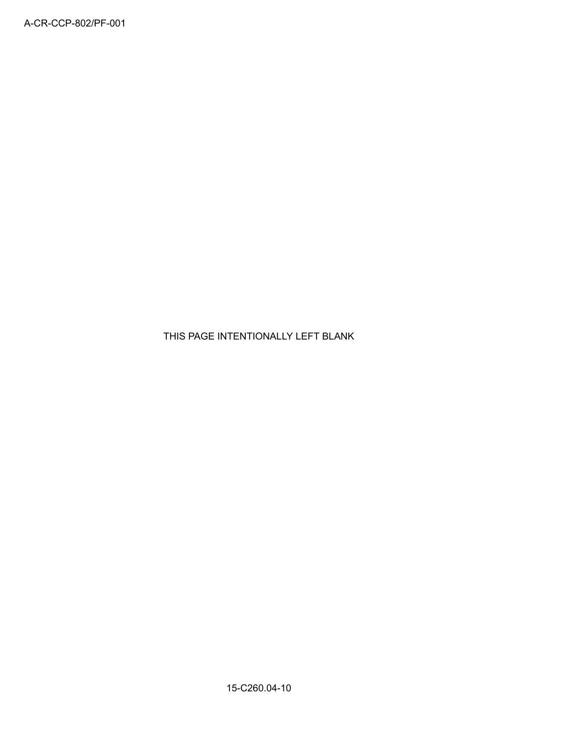THIS PAGE INTENTIONALLY LEFT BLANK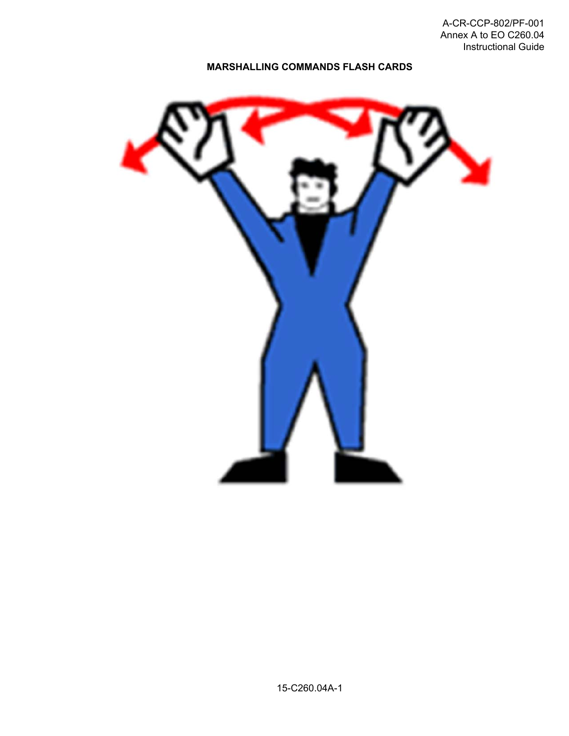#### **MARSHALLING COMMANDS FLASH CARDS**

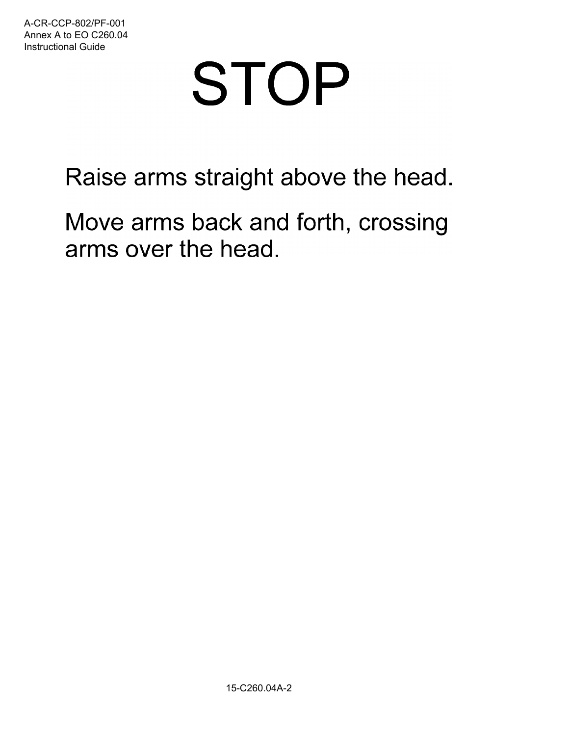### STOP

Raise arms straight above the head.

Move arms back and forth, crossing arms over the head.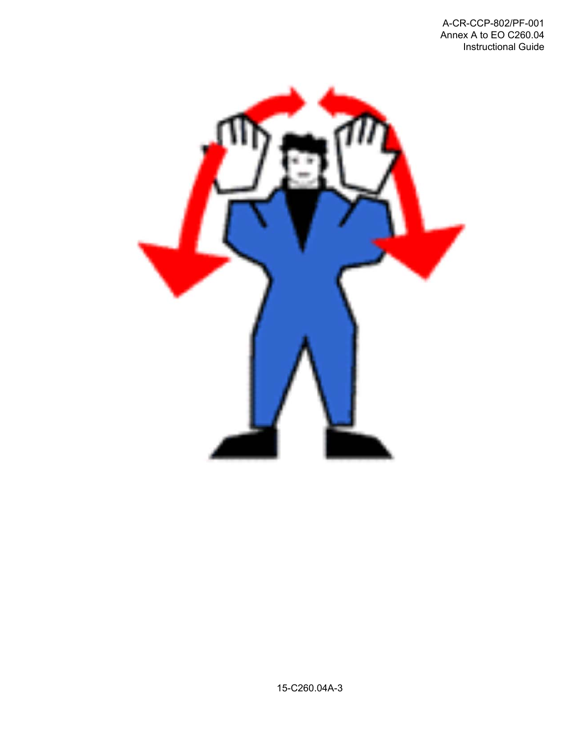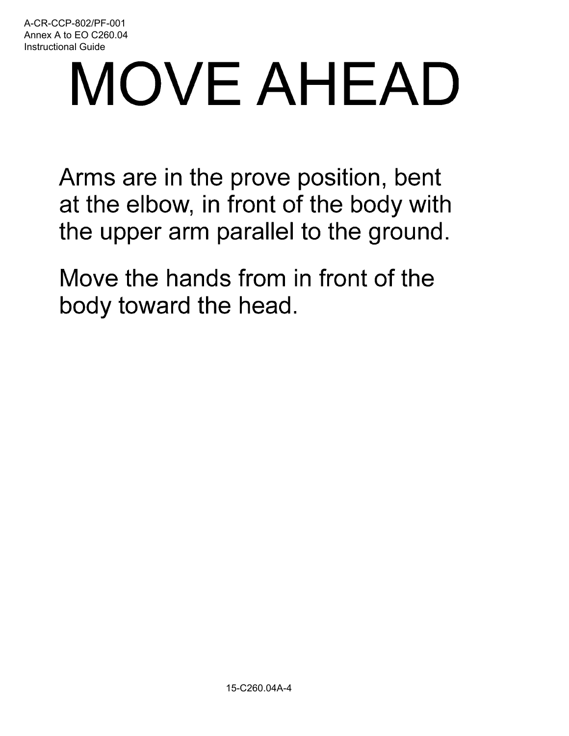# MOVE AHEAD

Arms are in the prove position, bent at the elbow, in front of the body with the upper arm parallel to the ground.

Move the hands from in front of the body toward the head.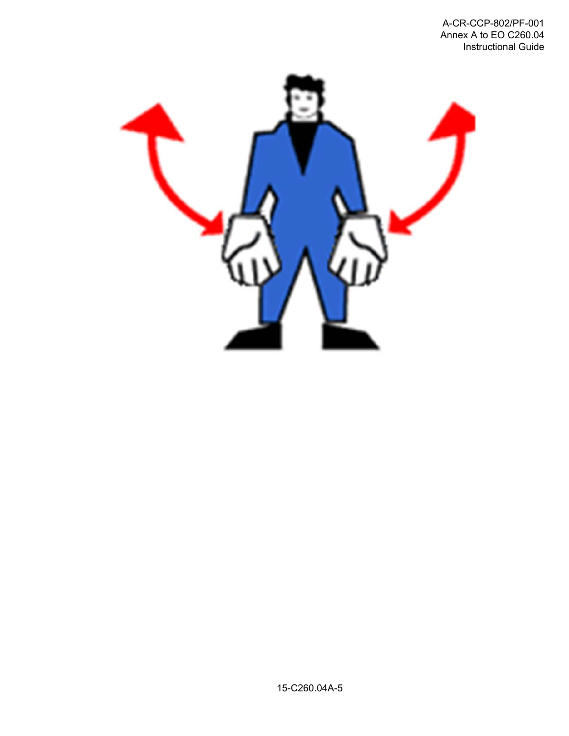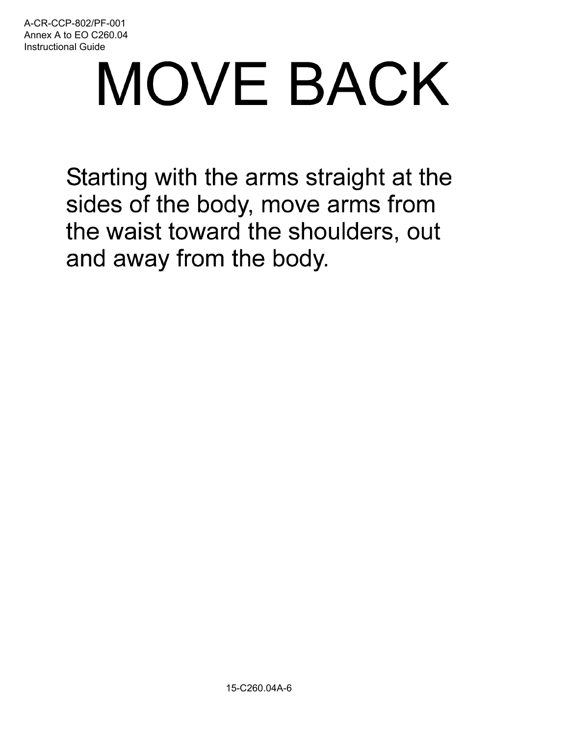## MOVE BACK

Starting with the arms straight at the sides of the body, move arms from the waist toward the shoulders, out and away from the body.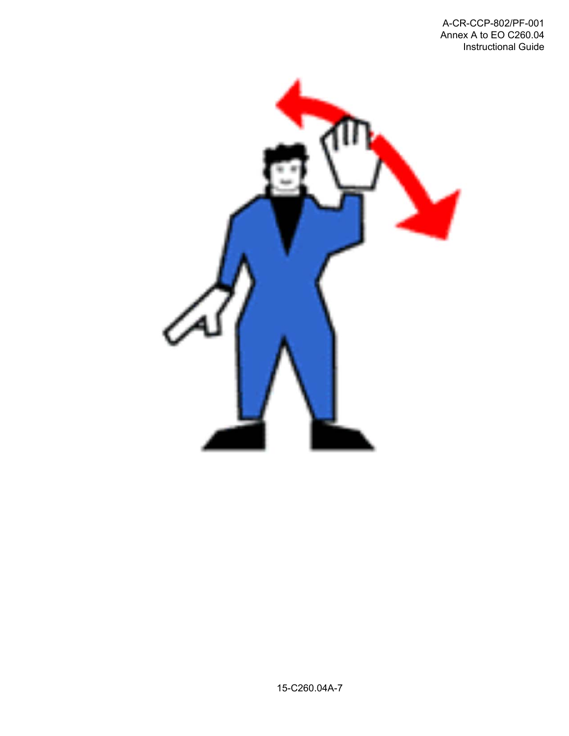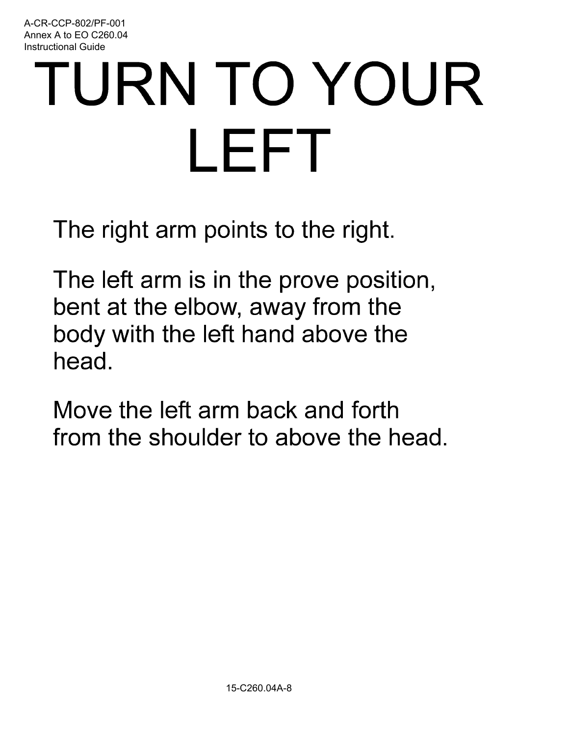## TURN TO YOUR LEFT

The right arm points to the right.

The left arm is in the prove position, bent at the elbow, away from the body with the left hand above the head.

Move the left arm back and forth from the shoulder to above the head.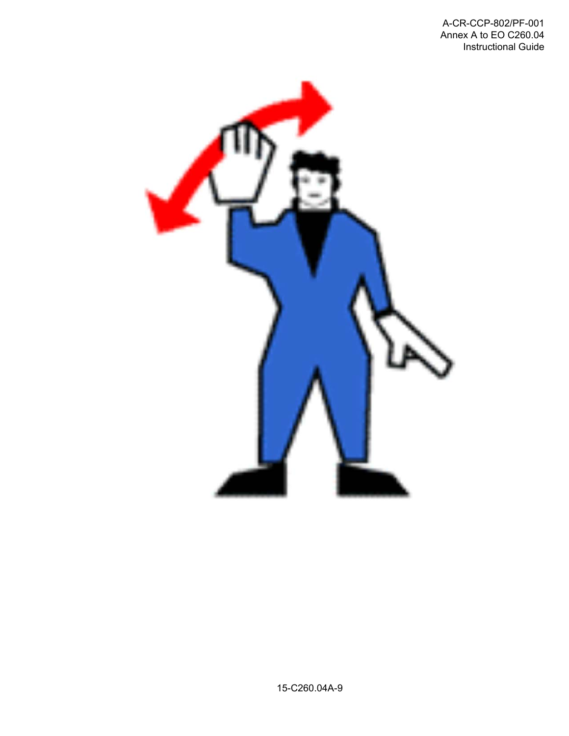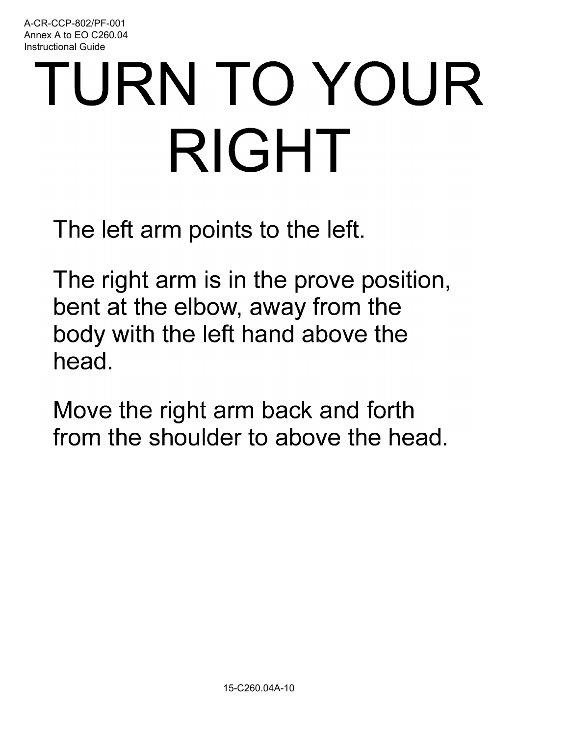## TURN TO YOUR RIGHT

The left arm points to the left.

The right arm is in the prove position, bent at the elbow, away from the body with the left hand above the head.

Move the right arm back and forth from the shoulder to above the head.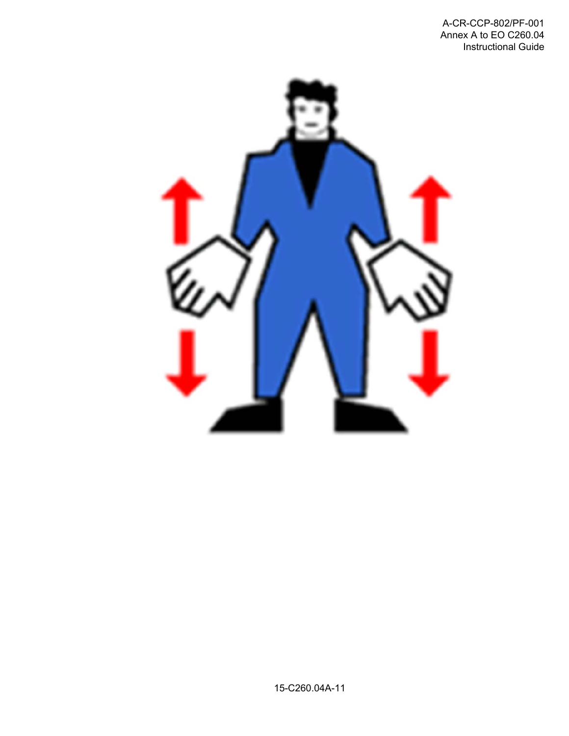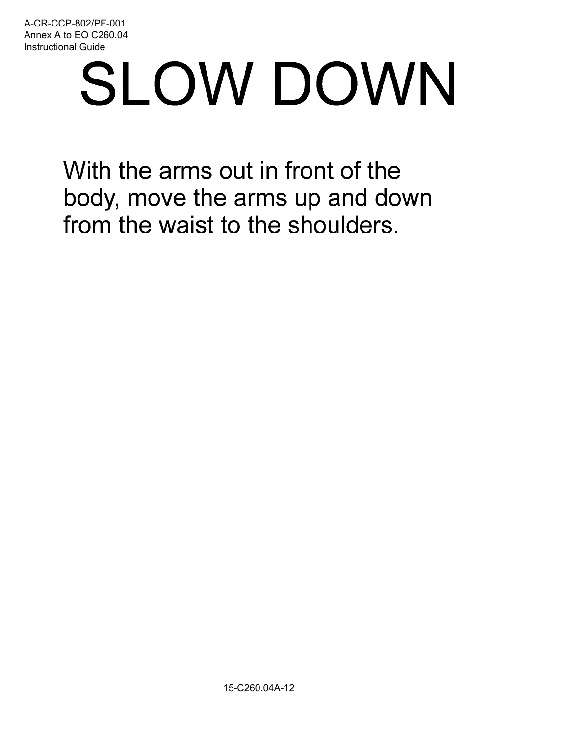## **SLOW DOWN**

With the arms out in front of the body, move the arms up and down from the waist to the shoulders.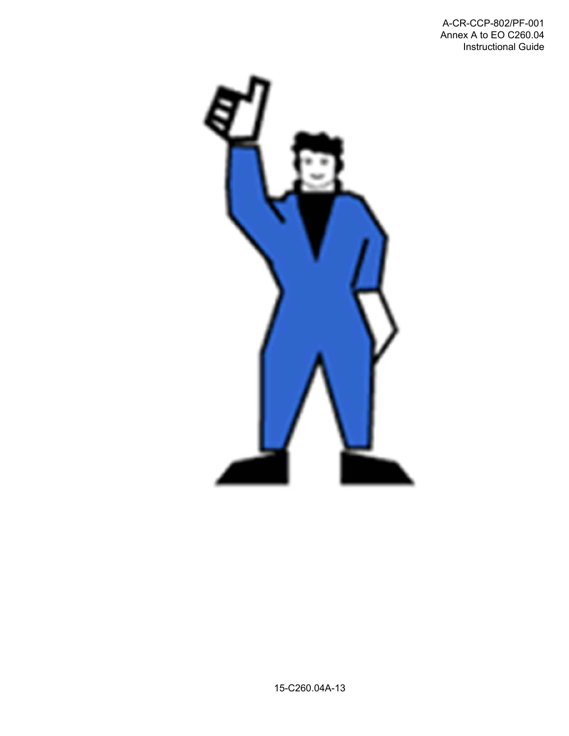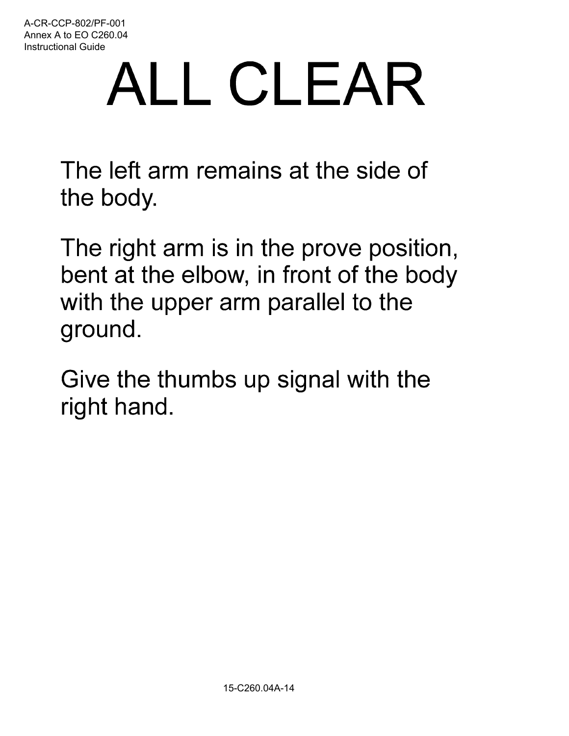# ALL CLEAR

The left arm remains at the side of the body.

The right arm is in the prove position, bent at the elbow, in front of the body with the upper arm parallel to the ground.

Give the thumbs up signal with the right hand.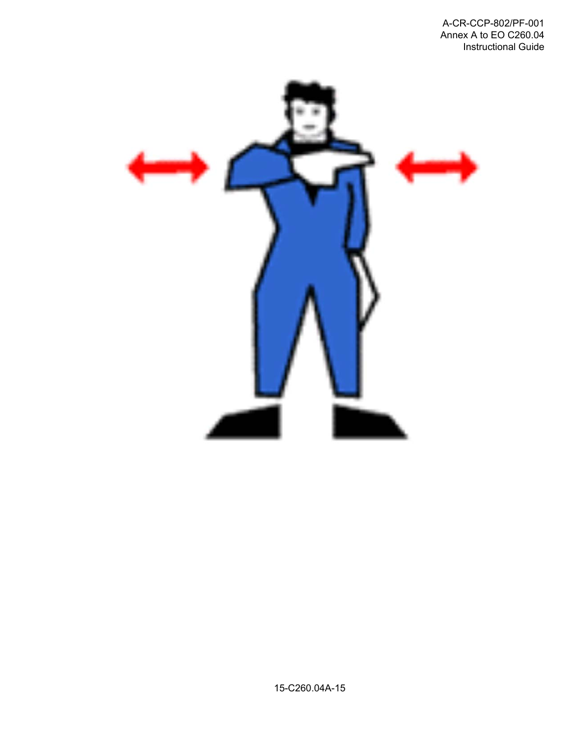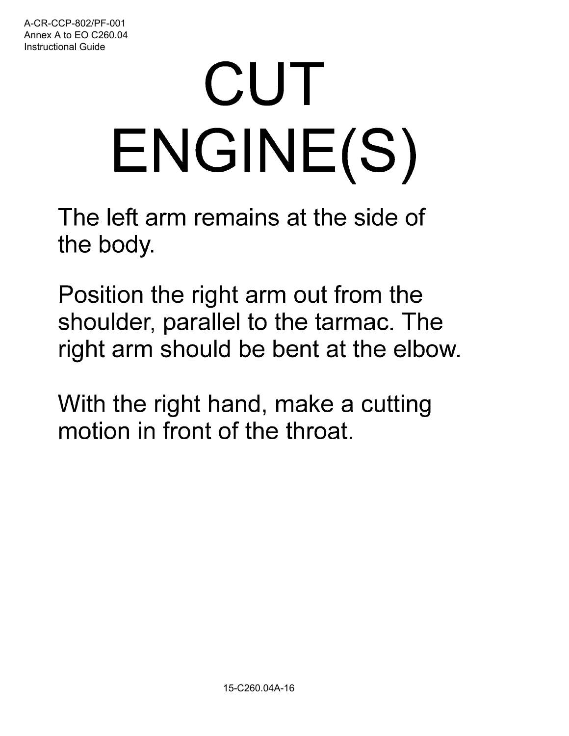# CUT ENGINE(S)

The left arm remains at the side of the body.

Position the right arm out from the shoulder, parallel to the tarmac. The right arm should be bent at the elbow.

With the right hand, make a cutting motion in front of the throat.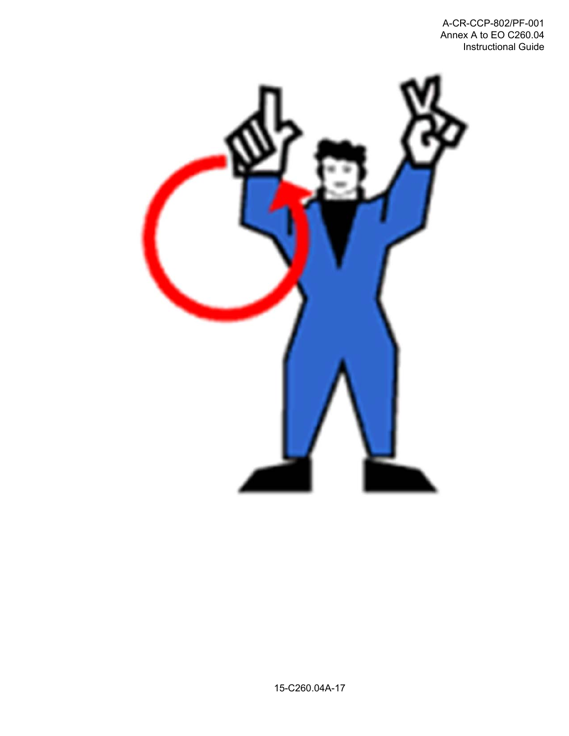